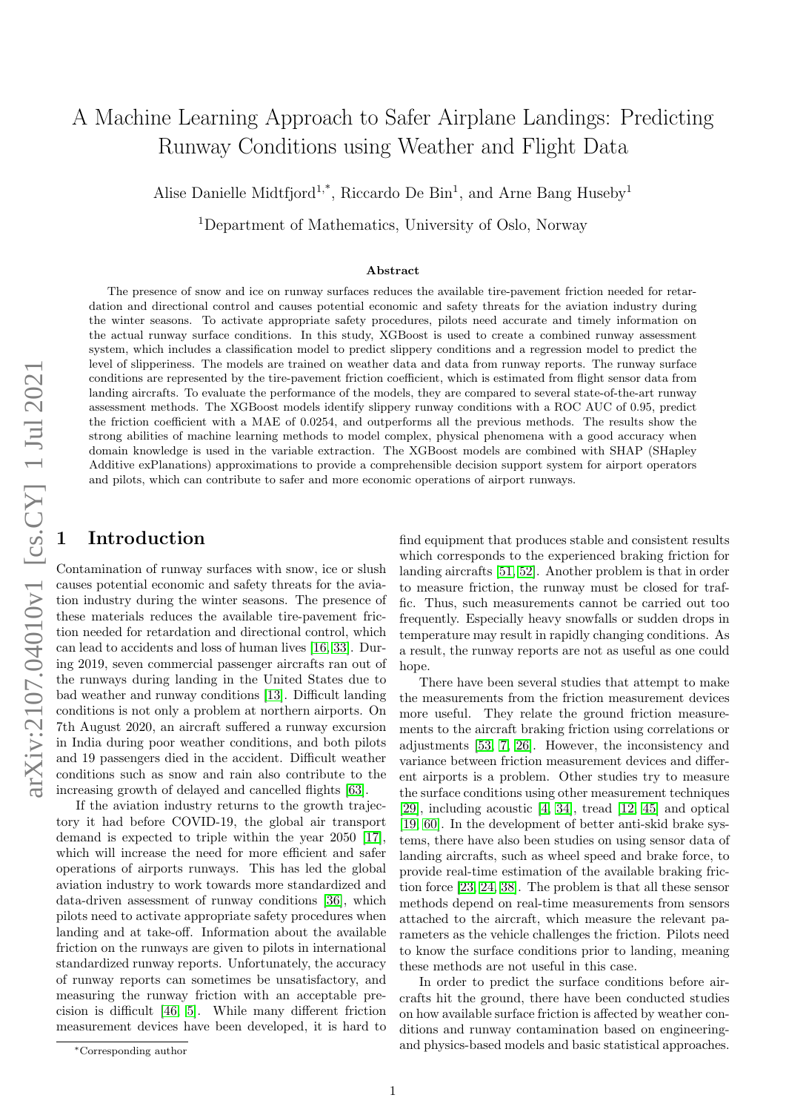# A Machine Learning Approach to Safer Airplane Landings: Predicting Runway Conditions using Weather and Flight Data

Alise Danielle Midtfjord<sup>1,\*</sup>, Riccardo De Bin<sup>1</sup>, and Arne Bang Huseby<sup>1</sup>

<sup>1</sup>Department of Mathematics, University of Oslo, Norway

#### Abstract

The presence of snow and ice on runway surfaces reduces the available tire-pavement friction needed for retardation and directional control and causes potential economic and safety threats for the aviation industry during the winter seasons. To activate appropriate safety procedures, pilots need accurate and timely information on the actual runway surface conditions. In this study, XGBoost is used to create a combined runway assessment system, which includes a classification model to predict slippery conditions and a regression model to predict the level of slipperiness. The models are trained on weather data and data from runway reports. The runway surface conditions are represented by the tire-pavement friction coefficient, which is estimated from flight sensor data from landing aircrafts. To evaluate the performance of the models, they are compared to several state-of-the-art runway assessment methods. The XGBoost models identify slippery runway conditions with a ROC AUC of 0.95, predict the friction coefficient with a MAE of 0.0254, and outperforms all the previous methods. The results show the strong abilities of machine learning methods to model complex, physical phenomena with a good accuracy when domain knowledge is used in the variable extraction. The XGBoost models are combined with SHAP (SHapley Additive exPlanations) approximations to provide a comprehensible decision support system for airport operators and pilots, which can contribute to safer and more economic operations of airport runways.

## <span id="page-0-0"></span>**Introduction**

Contamination of runway surfaces with snow, ice or slush causes potential economic and safety threats for the aviation industry during the winter seasons. The presence of these materials reduces the available tire-pavement friction needed for retardation and directional control, which can lead to accidents and loss of human lives [\[16,](#page-14-0) [33\]](#page-14-1). During 2019, seven commercial passenger aircrafts ran out of the runways during landing in the United States due to bad weather and runway conditions [\[13\]](#page-14-2). Difficult landing conditions is not only a problem at northern airports. On 7th August 2020, an aircraft suffered a runway excursion in India during poor weather conditions, and both pilots and 19 passengers died in the accident. Difficult weather conditions such as snow and rain also contribute to the increasing growth of delayed and cancelled flights [\[63\]](#page-15-0).

If the aviation industry returns to the growth trajectory it had before COVID-19, the global air transport demand is expected to triple within the year 2050 [\[17\]](#page-14-3), which will increase the need for more efficient and safer operations of airports runways. This has led the global aviation industry to work towards more standardized and data-driven assessment of runway conditions [\[36\]](#page-14-4), which pilots need to activate appropriate safety procedures when landing and at take-off. Information about the available friction on the runways are given to pilots in international standardized runway reports. Unfortunately, the accuracy of runway reports can sometimes be unsatisfactory, and measuring the runway friction with an acceptable precision is difficult [\[46,](#page-15-1) [5\]](#page-13-0). While many different friction measurement devices have been developed, it is hard to

find equipment that produces stable and consistent results which corresponds to the experienced braking friction for landing aircrafts [\[51,](#page-15-2) [52\]](#page-15-3). Another problem is that in order to measure friction, the runway must be closed for traffic. Thus, such measurements cannot be carried out too frequently. Especially heavy snowfalls or sudden drops in temperature may result in rapidly changing conditions. As a result, the runway reports are not as useful as one could hope.

There have been several studies that attempt to make the measurements from the friction measurement devices more useful. They relate the ground friction measurements to the aircraft braking friction using correlations or adjustments [\[53,](#page-15-4) [7,](#page-13-1) [26\]](#page-14-5). However, the inconsistency and variance between friction measurement devices and different airports is a problem. Other studies try to measure the surface conditions using other measurement techniques [\[29\]](#page-14-6), including acoustic [\[4,](#page-13-2) [34\]](#page-14-7), tread [\[12,](#page-14-8) [45\]](#page-15-5) and optical [\[19,](#page-14-9) [60\]](#page-15-6). In the development of better anti-skid brake systems, there have also been studies on using sensor data of landing aircrafts, such as wheel speed and brake force, to provide real-time estimation of the available braking friction force [\[23,](#page-14-10) [24,](#page-14-11) [38\]](#page-14-12). The problem is that all these sensor methods depend on real-time measurements from sensors attached to the aircraft, which measure the relevant parameters as the vehicle challenges the friction. Pilots need to know the surface conditions prior to landing, meaning these methods are not useful in this case.

In order to predict the surface conditions before aircrafts hit the ground, there have been conducted studies on how available surface friction is affected by weather conditions and runway contamination based on engineeringand physics-based models and basic statistical approaches.

<sup>∗</sup>Corresponding author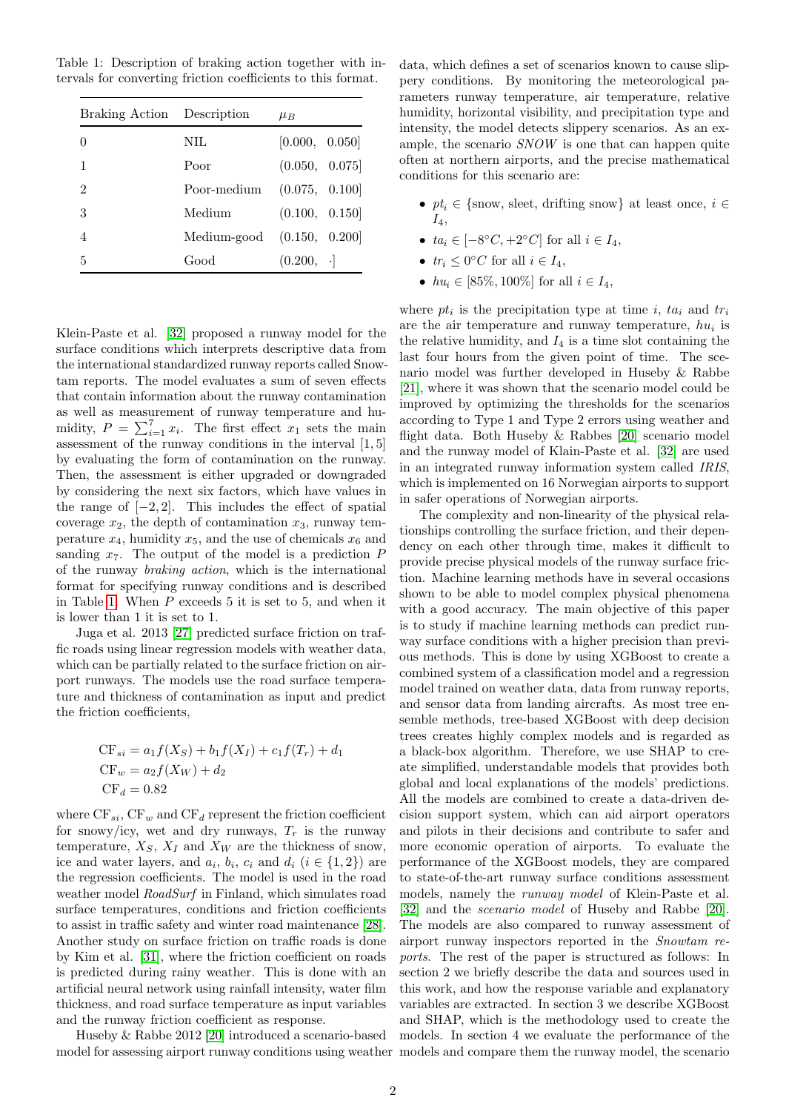<span id="page-1-0"></span>Table 1: Description of braking action together with intervals for converting friction coefficients to this format.

| Braking Action Description |             | $\mu_B$          |
|----------------------------|-------------|------------------|
| $\left( \right)$           | NIL.        | [0.000, 0.050]   |
| 1                          | Poor        | (0.050, 0.075]   |
| 2                          | Poor-medium | (0.075, 0.100]   |
| 3                          | Medium      | (0.100, 0.150]   |
| 4                          | Medium-good | (0.150, 0.200]   |
| 5                          | Good        | $(0.200, \cdot]$ |

Klein-Paste et al. [\[32\]](#page-14-13) proposed a runway model for the surface conditions which interprets descriptive data from the international standardized runway reports called Snowtam reports. The model evaluates a sum of seven effects that contain information about the runway contamination as well as measurement of runway temperature and humidity,  $P = \sum_{i=1}^{7} x_i$ . The first effect  $x_1$  sets the main assessment of the runway conditions in the interval [1, 5] by evaluating the form of contamination on the runway. Then, the assessment is either upgraded or downgraded by considering the next six factors, which have values in the range of  $[-2, 2]$ . This includes the effect of spatial coverage  $x_2$ , the depth of contamination  $x_3$ , runway temperature  $x_4$ , humidity  $x_5$ , and the use of chemicals  $x_6$  and sanding  $x_7$ . The output of the model is a prediction  $P$ of the runway braking action, which is the international format for specifying runway conditions and is described in Table [1.](#page-1-0) When  $P$  exceeds 5 it is set to 5, and when it is lower than 1 it is set to 1.

Juga et al. 2013 [\[27\]](#page-14-14) predicted surface friction on traffic roads using linear regression models with weather data, which can be partially related to the surface friction on airport runways. The models use the road surface temperature and thickness of contamination as input and predict the friction coefficients,

$$
CF_{si} = a_1 f(X_S) + b_1 f(X_I) + c_1 f(T_r) + d_1
$$
  
CF<sub>w</sub> =  $a_2 f(X_W) + d_2$   
CF<sub>d</sub> = 0.82

where  $CF_{si}$ ,  $CF_w$  and  $CF_d$  represent the friction coefficient for snowy/icy, wet and dry runways,  $T_r$  is the runway temperature,  $X_S$ ,  $X_I$  and  $X_W$  are the thickness of snow, ice and water layers, and  $a_i$ ,  $b_i$ ,  $c_i$  and  $d_i$   $(i \in \{1,2\})$  are the regression coefficients. The model is used in the road weather model *RoadSurf* in Finland, which simulates road surface temperatures, conditions and friction coefficients to assist in traffic safety and winter road maintenance [\[28\]](#page-14-15). Another study on surface friction on traffic roads is done by Kim et al. [\[31\]](#page-14-16), where the friction coefficient on roads is predicted during rainy weather. This is done with an artificial neural network using rainfall intensity, water film thickness, and road surface temperature as input variables and the runway friction coefficient as response.

Huseby & Rabbe 2012 [\[20\]](#page-14-17) introduced a scenario-based model for assessing airport runway conditions using weather models and compare them the runway model, the scenario

data, which defines a set of scenarios known to cause slippery conditions. By monitoring the meteorological parameters runway temperature, air temperature, relative humidity, horizontal visibility, and precipitation type and intensity, the model detects slippery scenarios. As an example, the scenario SNOW is one that can happen quite often at northern airports, and the precise mathematical conditions for this scenario are:

- $pt_i \in \{\text{snow}, \text{ select}, \text{drifting snow}\}$  at least once,  $i \in$  $I_4,$
- $ta_i \in [-8\degree C, +2\degree C]$  for all  $i \in I_4$ ,
- $tr_i \leq 0$ °C for all  $i \in I_4$ ,
- $hu_i \in [85\%, 100\%]$  for all  $i \in I_4$ ,

where  $pt_i$  is the precipitation type at time i,  $ta_i$  and  $tr_i$ are the air temperature and runway temperature,  $hu_i$  is the relative humidity, and  $I_4$  is a time slot containing the last four hours from the given point of time. The scenario model was further developed in Huseby & Rabbe [\[21\]](#page-14-18), where it was shown that the scenario model could be improved by optimizing the thresholds for the scenarios according to Type 1 and Type 2 errors using weather and flight data. Both Huseby  $\&$  Rabbes [\[20\]](#page-14-17) scenario model and the runway model of Klain-Paste et al. [\[32\]](#page-14-13) are used in an integrated runway information system called IRIS, which is implemented on 16 Norwegian airports to support in safer operations of Norwegian airports.

The complexity and non-linearity of the physical relationships controlling the surface friction, and their dependency on each other through time, makes it difficult to provide precise physical models of the runway surface friction. Machine learning methods have in several occasions shown to be able to model complex physical phenomena with a good accuracy. The main objective of this paper is to study if machine learning methods can predict runway surface conditions with a higher precision than previous methods. This is done by using XGBoost to create a combined system of a classification model and a regression model trained on weather data, data from runway reports, and sensor data from landing aircrafts. As most tree ensemble methods, tree-based XGBoost with deep decision trees creates highly complex models and is regarded as a black-box algorithm. Therefore, we use SHAP to create simplified, understandable models that provides both global and local explanations of the models' predictions. All the models are combined to create a data-driven decision support system, which can aid airport operators and pilots in their decisions and contribute to safer and more economic operation of airports. To evaluate the performance of the XGBoost models, they are compared to state-of-the-art runway surface conditions assessment models, namely the runway model of Klein-Paste et al. [\[32\]](#page-14-13) and the *scenario model* of Huseby and Rabbe [\[20\]](#page-14-17). The models are also compared to runway assessment of airport runway inspectors reported in the Snowtam reports. The rest of the paper is structured as follows: In section 2 we briefly describe the data and sources used in this work, and how the response variable and explanatory variables are extracted. In section 3 we describe XGBoost and SHAP, which is the methodology used to create the models. In section 4 we evaluate the performance of the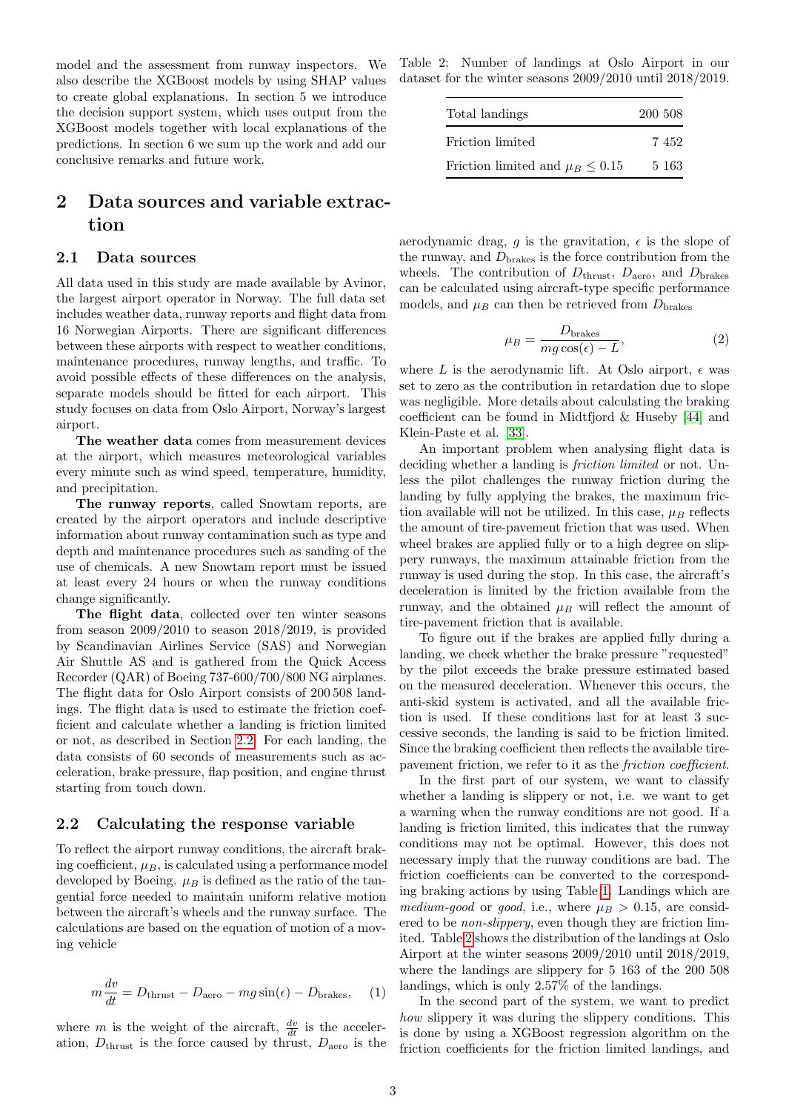model and the assessment from runway inspectors. We also describe the XGBoost models by using SHAP values to create global explanations. In section 5 we introduce the decision support system, which uses output from the XGBoost models together with local explanations of the predictions. In section 6 we sum up the work and add our conclusive remarks and future work.

## 2 Data sources and variable extraction

### 2.1 Data sources

All data used in this study are made available by Avinor, the largest airport operator in Norway. The full data set includes weather data, runway reports and flight data from 16 Norwegian Airports. There are significant differences between these airports with respect to weather conditions, maintenance procedures, runway lengths, and traffic. To avoid possible effects of these differences on the analysis, separate models should be fitted for each airport. This study focuses on data from Oslo Airport, Norway's largest airport.

The weather data comes from measurement devices at the airport, which measures meteorological variables every minute such as wind speed, temperature, humidity, and precipitation.

The runway reports, called Snowtam reports, are created by the airport operators and include descriptive information about runway contamination such as type and depth and maintenance procedures such as sanding of the use of chemicals. A new Snowtam report must be issued at least every 24 hours or when the runway conditions change significantly.

The flight data, collected over ten winter seasons from season 2009/2010 to season 2018/2019, is provided by Scandinavian Airlines Service (SAS) and Norwegian Air Shuttle AS and is gathered from the Quick Access Recorder (QAR) of Boeing 737-600/700/800 NG airplanes. The flight data for Oslo Airport consists of 200 508 landings. The flight data is used to estimate the friction coefficient and calculate whether a landing is friction limited or not, as described in Section [2.2.](#page-2-0) For each landing, the data consists of 60 seconds of measurements such as acceleration, brake pressure, flap position, and engine thrust starting from touch down.

#### <span id="page-2-0"></span>2.2 Calculating the response variable

To reflect the airport runway conditions, the aircraft braking coefficient,  $\mu_B$ , is calculated using a performance model developed by Boeing.  $\mu_B$  is defined as the ratio of the tangential force needed to maintain uniform relative motion between the aircraft's wheels and the runway surface. The calculations are based on the equation of motion of a moving vehicle

$$
m\frac{dv}{dt} = Dthrust - Daero - mg\sin(\epsilon) - Dbrakes, (1)
$$

where m is the weight of the aircraft,  $\frac{dv}{dt}$  is the acceleration,  $D_{\text{thrust}}$  is the force caused by thrust,  $D_{\text{aero}}$  is the

<span id="page-2-1"></span>Table 2: Number of landings at Oslo Airport in our dataset for the winter seasons 2009/2010 until 2018/2019.

| Total landings                         | 200 508 |
|----------------------------------------|---------|
| Friction limited                       | 7452    |
| Friction limited and $\mu_B \leq 0.15$ | 5 1 6 3 |

aerodynamic drag, g is the gravitation,  $\epsilon$  is the slope of the runway, and  $D_{\text{brakes}}$  is the force contribution from the wheels. The contribution of  $D_{\text{thrust}}$ ,  $D_{\text{aero}}$ , and  $D_{\text{brakes}}$ can be calculated using aircraft-type specific performance models, and  $\mu_B$  can then be retrieved from  $D_{\text{brakes}}$ 

$$
\mu_B = \frac{D_{\text{brakes}}}{mg\cos(\epsilon) - L},\tag{2}
$$

where L is the aerodynamic lift. At Oslo airport,  $\epsilon$  was set to zero as the contribution in retardation due to slope was negligible. More details about calculating the braking coefficient can be found in Midtfjord & Huseby [\[44\]](#page-15-7) and Klein-Paste et al. [\[33\]](#page-14-1).

An important problem when analysing flight data is deciding whether a landing is *friction limited* or not. Unless the pilot challenges the runway friction during the landing by fully applying the brakes, the maximum friction available will not be utilized. In this case,  $\mu_B$  reflects the amount of tire-pavement friction that was used. When wheel brakes are applied fully or to a high degree on slippery runways, the maximum attainable friction from the runway is used during the stop. In this case, the aircraft's deceleration is limited by the friction available from the runway, and the obtained  $\mu_B$  will reflect the amount of tire-pavement friction that is available.

To figure out if the brakes are applied fully during a landing, we check whether the brake pressure "requested" by the pilot exceeds the brake pressure estimated based on the measured deceleration. Whenever this occurs, the anti-skid system is activated, and all the available friction is used. If these conditions last for at least 3 successive seconds, the landing is said to be friction limited. Since the braking coefficient then reflects the available tirepavement friction, we refer to it as the friction coefficient.

In the first part of our system, we want to classify whether a landing is slippery or not, i.e. we want to get a warning when the runway conditions are not good. If a landing is friction limited, this indicates that the runway conditions may not be optimal. However, this does not necessary imply that the runway conditions are bad. The friction coefficients can be converted to the corresponding braking actions by using Table [1.](#page-1-0) Landings which are medium-good or good, i.e., where  $\mu_B > 0.15$ , are considered to be non-slippery, even though they are friction limited. Table [2](#page-2-1) shows the distribution of the landings at Oslo Airport at the winter seasons 2009/2010 until 2018/2019, where the landings are slippery for 5 163 of the 200 508 landings, which is only 2.57% of the landings.

In the second part of the system, we want to predict how slippery it was during the slippery conditions. This is done by using a XGBoost regression algorithm on the friction coefficients for the friction limited landings, and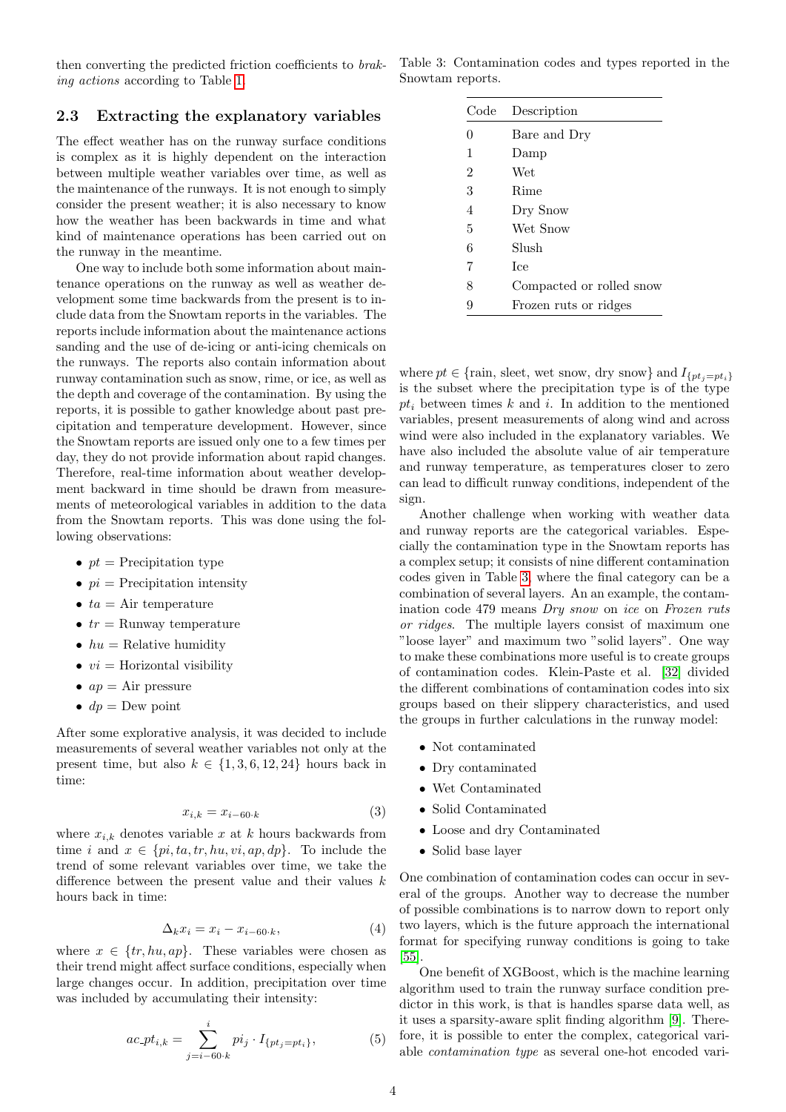then converting the predicted friction coefficients to braking actions according to Table [1.](#page-1-0)

#### <span id="page-3-1"></span>2.3 Extracting the explanatory variables

The effect weather has on the runway surface conditions is complex as it is highly dependent on the interaction between multiple weather variables over time, as well as the maintenance of the runways. It is not enough to simply consider the present weather; it is also necessary to know how the weather has been backwards in time and what kind of maintenance operations has been carried out on the runway in the meantime.

One way to include both some information about maintenance operations on the runway as well as weather development some time backwards from the present is to include data from the Snowtam reports in the variables. The reports include information about the maintenance actions sanding and the use of de-icing or anti-icing chemicals on the runways. The reports also contain information about runway contamination such as snow, rime, or ice, as well as the depth and coverage of the contamination. By using the reports, it is possible to gather knowledge about past precipitation and temperature development. However, since the Snowtam reports are issued only one to a few times per day, they do not provide information about rapid changes. Therefore, real-time information about weather development backward in time should be drawn from measurements of meteorological variables in addition to the data from the Snowtam reports. This was done using the following observations:

- $pt = \text{Precipitation type}$
- $pi = \text{Precipitation intensity}$
- $ta = Air$  temperature
- $tr =$  Runway temperature
- $hu =$  Relative humidity
- $vi =$  Horizontal visibility
- $ap = Air pressure$
- $dp =$ Dew point

After some explorative analysis, it was decided to include measurements of several weather variables not only at the present time, but also  $k \in \{1, 3, 6, 12, 24\}$  hours back in time:

$$
x_{i,k} = x_{i-60 \cdot k} \tag{3}
$$

where  $x_{i,k}$  denotes variable x at k hours backwards from time i and  $x \in \{pi, ta, tr, hu, vi, ap, dp\}$ . To include the trend of some relevant variables over time, we take the difference between the present value and their values  $k$ hours back in time:

$$
\Delta_k x_i = x_i - x_{i-60 \cdot k},\tag{4}
$$

where  $x \in \{tr, hu, ap\}$ . These variables were chosen as their trend might affect surface conditions, especially when large changes occur. In addition, precipitation over time was included by accumulating their intensity:

$$
ac_{i}pt_{i,k} = \sum_{j=i-60 \cdot k}^{i} pi_j \cdot I_{\{pt_j = pt_i\}},
$$
 (5)

<span id="page-3-0"></span>Table 3: Contamination codes and types reported in the Snowtam reports.

| Code           | Description              |
|----------------|--------------------------|
| $\Omega$       | Bare and Dry             |
| 1              | Damp                     |
| $\overline{2}$ | Wet                      |
| 3              | Rime                     |
| 4              | Dry Snow                 |
| 5              | Wet Snow                 |
| 6              | Slush                    |
| 7              | <b>T</b> ce              |
| 8              | Compacted or rolled snow |
| 9              | Frozen ruts or ridges    |

where  $pt \in \{\text{rain}, \text{sheet}, \text{wet snow}, \text{ dry snow}\}$  and  $I_{\{pt_i=pt_i\}}$ is the subset where the precipitation type is of the type  $pt_i$  between times  $k$  and  $i$ . In addition to the mentioned variables, present measurements of along wind and across wind were also included in the explanatory variables. We have also included the absolute value of air temperature and runway temperature, as temperatures closer to zero can lead to difficult runway conditions, independent of the sign.

Another challenge when working with weather data and runway reports are the categorical variables. Especially the contamination type in the Snowtam reports has a complex setup; it consists of nine different contamination codes given in Table [3,](#page-3-0) where the final category can be a combination of several layers. An an example, the contamination code 479 means Dry snow on ice on Frozen ruts or ridges. The multiple layers consist of maximum one "loose layer" and maximum two "solid layers". One way to make these combinations more useful is to create groups of contamination codes. Klein-Paste et al. [\[32\]](#page-14-13) divided the different combinations of contamination codes into six groups based on their slippery characteristics, and used the groups in further calculations in the runway model:

- Not contaminated
- Dry contaminated
- Wet Contaminated
- Solid Contaminated
- Loose and dry Contaminated
- Solid base layer

One combination of contamination codes can occur in several of the groups. Another way to decrease the number of possible combinations is to narrow down to report only two layers, which is the future approach the international format for specifying runway conditions is going to take [\[55\]](#page-15-8).

One benefit of XGBoost, which is the machine learning algorithm used to train the runway surface condition predictor in this work, is that is handles sparse data well, as it uses a sparsity-aware split finding algorithm [\[9\]](#page-13-3). Therefore, it is possible to enter the complex, categorical variable contamination type as several one-hot encoded vari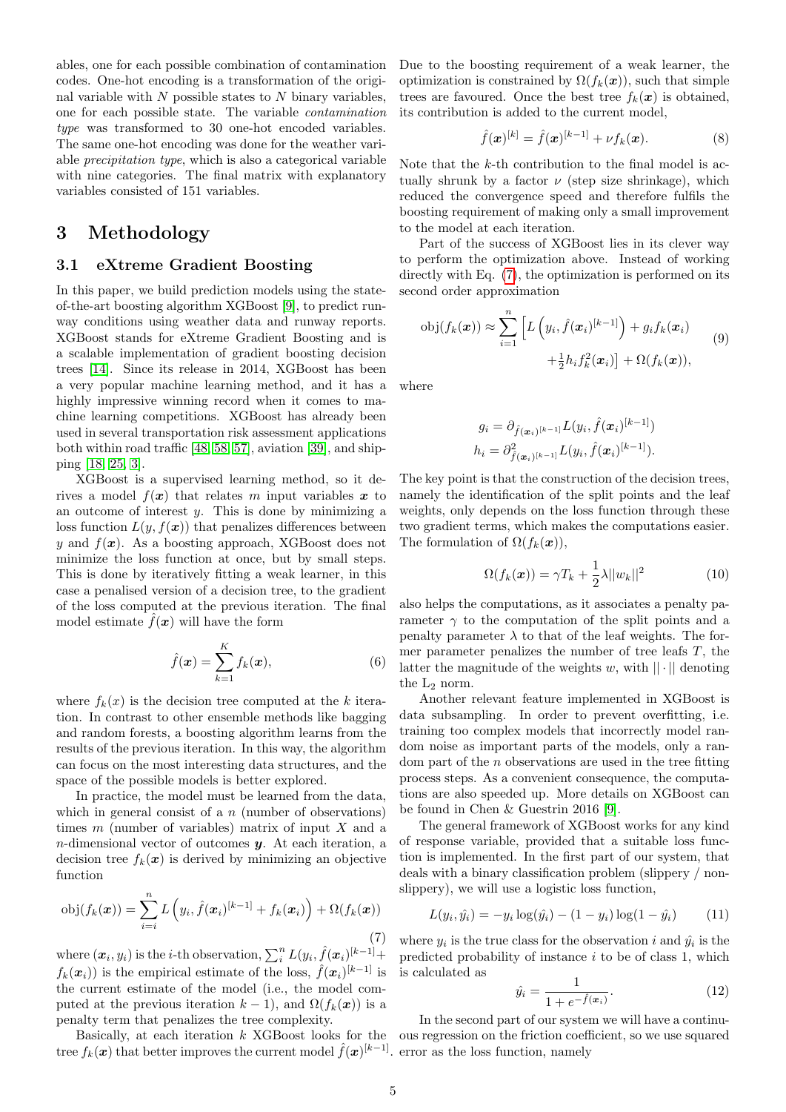ables, one for each possible combination of contamination codes. One-hot encoding is a transformation of the original variable with  $N$  possible states to  $N$  binary variables, one for each possible state. The variable contamination type was transformed to 30 one-hot encoded variables. The same one-hot encoding was done for the weather variable precipitation type, which is also a categorical variable with nine categories. The final matrix with explanatory variables consisted of 151 variables.

## 3 Methodology

## <span id="page-4-1"></span>3.1 eXtreme Gradient Boosting

In this paper, we build prediction models using the stateof-the-art boosting algorithm XGBoost [\[9\]](#page-13-3), to predict runway conditions using weather data and runway reports. XGBoost stands for eXtreme Gradient Boosting and is a scalable implementation of gradient boosting decision trees [\[14\]](#page-14-19). Since its release in 2014, XGBoost has been a very popular machine learning method, and it has a highly impressive winning record when it comes to machine learning competitions. XGBoost has already been used in several transportation risk assessment applications both within road traffic [\[48,](#page-15-9) [58,](#page-15-10) [57\]](#page-15-11), aviation [\[39\]](#page-14-20), and shipping [\[18,](#page-14-21) [25,](#page-14-22) [3\]](#page-13-4).

XGBoost is a supervised learning method, so it derives a model  $f(x)$  that relates m input variables x to an outcome of interest  $y$ . This is done by minimizing a loss function  $L(y, f(x))$  that penalizes differences between y and  $f(x)$ . As a boosting approach, XGBoost does not minimize the loss function at once, but by small steps. This is done by iteratively fitting a weak learner, in this case a penalised version of a decision tree, to the gradient of the loss computed at the previous iteration. The final model estimate  $f(x)$  will have the form

$$
\hat{f}(\boldsymbol{x}) = \sum_{k=1}^{K} f_k(\boldsymbol{x}),\tag{6}
$$

where  $f_k(x)$  is the decision tree computed at the k iteration. In contrast to other ensemble methods like bagging and random forests, a boosting algorithm learns from the results of the previous iteration. In this way, the algorithm can focus on the most interesting data structures, and the space of the possible models is better explored.

In practice, the model must be learned from the data, which in general consist of a  $n$  (number of observations) times  $m$  (number of variables) matrix of input  $X$  and a  $n$ -dimensional vector of outcomes  $y$ . At each iteration, a decision tree  $f_k(x)$  is derived by minimizing an objective function

<span id="page-4-0"></span>
$$
obj(f_k(\boldsymbol{x})) = \sum_{i=i}^{n} L\left(y_i, \hat{f}(\boldsymbol{x}_i)^{[k-1]} + f_k(\boldsymbol{x}_i)\right) + \Omega(f_k(\boldsymbol{x}))
$$
\n(7)

where  $(\boldsymbol{x}_i, y_i)$  is the *i*-th observation,  $\sum_i^n L(y_i, \hat{f}(\boldsymbol{x}_i)^{[k-1]} +$  $f_k(\boldsymbol{x}_i)$  is the empirical estimate of the loss,  $\hat{f}(\boldsymbol{x}_i)^{[k-1]}$  is the current estimate of the model (i.e., the model computed at the previous iteration  $k - 1$ , and  $\Omega(f_k(\boldsymbol{x}))$  is a penalty term that penalizes the tree complexity.

tree  $f_k(\boldsymbol{x})$  that better improves the current model  $\hat{f}(\boldsymbol{x})^{[k-1]}$  error as the loss function, namely

Due to the boosting requirement of a weak learner, the optimization is constrained by  $\Omega(f_k(\boldsymbol{x}))$ , such that simple trees are favoured. Once the best tree  $f_k(x)$  is obtained, its contribution is added to the current model,

$$
\hat{f}(\bm{x})^{[k]} = \hat{f}(\bm{x})^{[k-1]} + \nu f_k(\bm{x}). \tag{8}
$$

Note that the k-th contribution to the final model is actually shrunk by a factor  $\nu$  (step size shrinkage), which reduced the convergence speed and therefore fulfils the boosting requirement of making only a small improvement to the model at each iteration.

Part of the success of XGBoost lies in its clever way to perform the optimization above. Instead of working directly with Eq. [\(7\)](#page-4-0), the optimization is performed on its second order approximation

$$
obj(f_k(\boldsymbol{x})) \approx \sum_{i=1}^n \left[ L\left(y_i, \hat{f}(\boldsymbol{x}_i)^{[k-1]}\right) + g_i f_k(\boldsymbol{x}_i) + \frac{1}{2} h_i f_k^2(\boldsymbol{x}_i) \right] + \Omega(f_k(\boldsymbol{x})), \tag{9}
$$

where

$$
g_i = \partial_{\hat{f}(\boldsymbol{x}_i)^{[k-1]}} L(y_i, \hat{f}(\boldsymbol{x}_i)^{[k-1]})
$$
  

$$
h_i = \partial_{\hat{f}(\boldsymbol{x}_i)^{[k-1]}}^2 L(y_i, \hat{f}(\boldsymbol{x}_i)^{[k-1]}).
$$

The key point is that the construction of the decision trees, namely the identification of the split points and the leaf weights, only depends on the loss function through these two gradient terms, which makes the computations easier. The formulation of  $\Omega(f_k(\boldsymbol{x})),$ 

$$
\Omega(f_k(\boldsymbol{x})) = \gamma T_k + \frac{1}{2}\lambda ||w_k||^2 \tag{10}
$$

also helps the computations, as it associates a penalty parameter  $\gamma$  to the computation of the split points and a penalty parameter  $\lambda$  to that of the leaf weights. The former parameter penalizes the number of tree leafs T, the latter the magnitude of the weights w, with  $|| \cdot ||$  denoting the  $L_2$  norm.

Another relevant feature implemented in XGBoost is data subsampling. In order to prevent overfitting, i.e. training too complex models that incorrectly model random noise as important parts of the models, only a random part of the n observations are used in the tree fitting process steps. As a convenient consequence, the computations are also speeded up. More details on XGBoost can be found in Chen & Guestrin 2016 [\[9\]](#page-13-3).

The general framework of XGBoost works for any kind of response variable, provided that a suitable loss function is implemented. In the first part of our system, that deals with a binary classification problem (slippery / nonslippery), we will use a logistic loss function,

$$
L(y_i, \hat{y}_i) = -y_i \log(\hat{y}_i) - (1 - y_i) \log(1 - \hat{y}_i)
$$
 (11)

where  $y_i$  is the true class for the observation i and  $\hat{y}_i$  is the predicted probability of instance  $i$  to be of class 1, which is calculated as

<span id="page-4-2"></span>
$$
\hat{y}_i = \frac{1}{1 + e^{-\hat{f}(\boldsymbol{x}_i)}}.\tag{12}
$$

Basically, at each iteration k XGBoost looks for the ous regression on the friction coefficient, so we use squared In the second part of our system we will have a continu-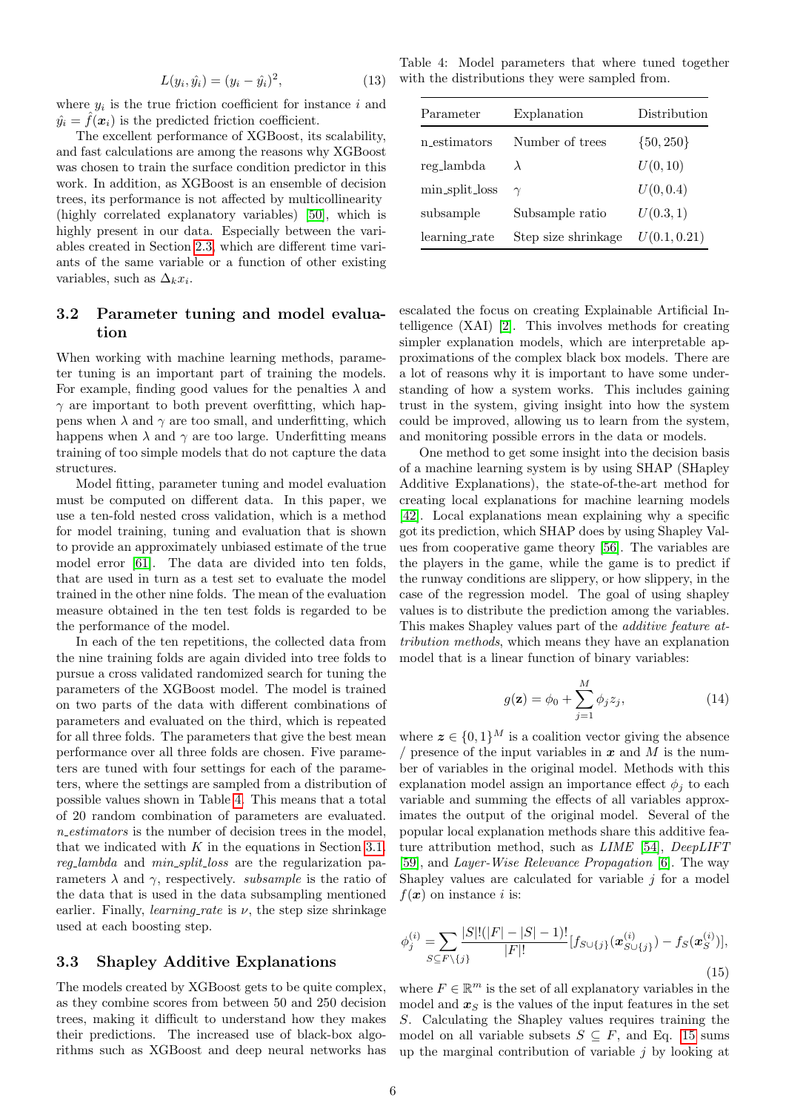<span id="page-5-2"></span>
$$
L(y_i, \hat{y_i}) = (y_i - \hat{y_i})^2,
$$
\n(13)

where  $y_i$  is the true friction coefficient for instance i and  $\hat{y}_i = \hat{f}(\boldsymbol{x}_i)$  is the predicted friction coefficient.

The excellent performance of XGBoost, its scalability, and fast calculations are among the reasons why XGBoost was chosen to train the surface condition predictor in this work. In addition, as XGBoost is an ensemble of decision trees, its performance is not affected by multicollinearity (highly correlated explanatory variables) [\[50\]](#page-15-12), which is highly present in our data. Especially between the variables created in Section [2.3,](#page-3-1) which are different time variants of the same variable or a function of other existing variables, such as  $\Delta_k x_i$ .

## 3.2 Parameter tuning and model evaluation

When working with machine learning methods, parameter tuning is an important part of training the models. For example, finding good values for the penalties  $\lambda$  and  $\gamma$  are important to both prevent overfitting, which happens when  $\lambda$  and  $\gamma$  are too small, and underfitting, which happens when  $\lambda$  and  $\gamma$  are too large. Underfitting means training of too simple models that do not capture the data structures.

Model fitting, parameter tuning and model evaluation must be computed on different data. In this paper, we use a ten-fold nested cross validation, which is a method for model training, tuning and evaluation that is shown to provide an approximately unbiased estimate of the true model error [\[61\]](#page-15-13). The data are divided into ten folds, that are used in turn as a test set to evaluate the model trained in the other nine folds. The mean of the evaluation measure obtained in the ten test folds is regarded to be the performance of the model.

In each of the ten repetitions, the collected data from the nine training folds are again divided into tree folds to pursue a cross validated randomized search for tuning the parameters of the XGBoost model. The model is trained on two parts of the data with different combinations of parameters and evaluated on the third, which is repeated for all three folds. The parameters that give the best mean performance over all three folds are chosen. Five parameters are tuned with four settings for each of the parameters, where the settings are sampled from a distribution of possible values shown in Table [4.](#page-5-0) This means that a total of 20 random combination of parameters are evaluated.  $n\_estimators$  is the number of decision trees in the model, that we indicated with  $K$  in the equations in Section [3.1.](#page-4-1) reg lambda and min split loss are the regularization parameters  $\lambda$  and  $\gamma$ , respectively. *subsample* is the ratio of the data that is used in the data subsampling mentioned earlier. Finally, *learning-rate* is  $\nu$ , the step size shrinkage used at each boosting step.

#### 3.3 Shapley Additive Explanations

The models created by XGBoost gets to be quite complex, as they combine scores from between 50 and 250 decision trees, making it difficult to understand how they makes their predictions. The increased use of black-box algorithms such as XGBoost and deep neural networks has

<span id="page-5-0"></span>Table 4: Model parameters that where tuned together with the distributions they were sampled from.

| Parameter      | Explanation         | Distribution  |
|----------------|---------------------|---------------|
| n estimators   | Number of trees     | $\{50, 250\}$ |
| reg_lambda     | $\lambda$           | U(0, 10)      |
| min_split_loss | $\gamma$            | U(0, 0.4)     |
| subsample      | Subsample ratio     | U(0.3, 1)     |
| learning_rate  | Step size shrinkage | U(0.1, 0.21)  |

escalated the focus on creating Explainable Artificial Intelligence (XAI) [\[2\]](#page-13-5). This involves methods for creating simpler explanation models, which are interpretable approximations of the complex black box models. There are a lot of reasons why it is important to have some understanding of how a system works. This includes gaining trust in the system, giving insight into how the system could be improved, allowing us to learn from the system, and monitoring possible errors in the data or models.

One method to get some insight into the decision basis of a machine learning system is by using SHAP (SHapley Additive Explanations), the state-of-the-art method for creating local explanations for machine learning models [\[42\]](#page-15-14). Local explanations mean explaining why a specific got its prediction, which SHAP does by using Shapley Values from cooperative game theory [\[56\]](#page-15-15). The variables are the players in the game, while the game is to predict if the runway conditions are slippery, or how slippery, in the case of the regression model. The goal of using shapley values is to distribute the prediction among the variables. This makes Shapley values part of the additive feature attribution methods, which means they have an explanation model that is a linear function of binary variables:

$$
g(\mathbf{z}) = \phi_0 + \sum_{j=1}^{M} \phi_j z_j,
$$
\n(14)

where  $z \in \{0,1\}^M$  is a coalition vector giving the absence / presence of the input variables in  $x$  and M is the number of variables in the original model. Methods with this explanation model assign an importance effect  $\phi_i$  to each variable and summing the effects of all variables approximates the output of the original model. Several of the popular local explanation methods share this additive feature attribution method, such as LIME [\[54\]](#page-15-16), DeepLIFT [\[59\]](#page-15-17), and Layer-Wise Relevance Propagation [\[6\]](#page-13-6). The way Shapley values are calculated for variable  $i$  for a model  $f(\boldsymbol{x})$  on instance *i* is:

<span id="page-5-1"></span>
$$
\phi_j^{(i)} = \sum_{S \subseteq F \setminus \{j\}} \frac{|S|!(|F| - |S| - 1)!}{|F|!} [f_{S \cup \{j\}}(\boldsymbol{x}_{S \cup \{j\}}^{(i)}) - f_S(\boldsymbol{x}_S^{(i)})],\tag{15}
$$

where  $F \in \mathbb{R}^m$  is the set of all explanatory variables in the model and  $x<sub>S</sub>$  is the values of the input features in the set S. Calculating the Shapley values requires training the model on all variable subsets  $S \subseteq F$ , and Eq. [15](#page-5-1) sums up the marginal contribution of variable  $j$  by looking at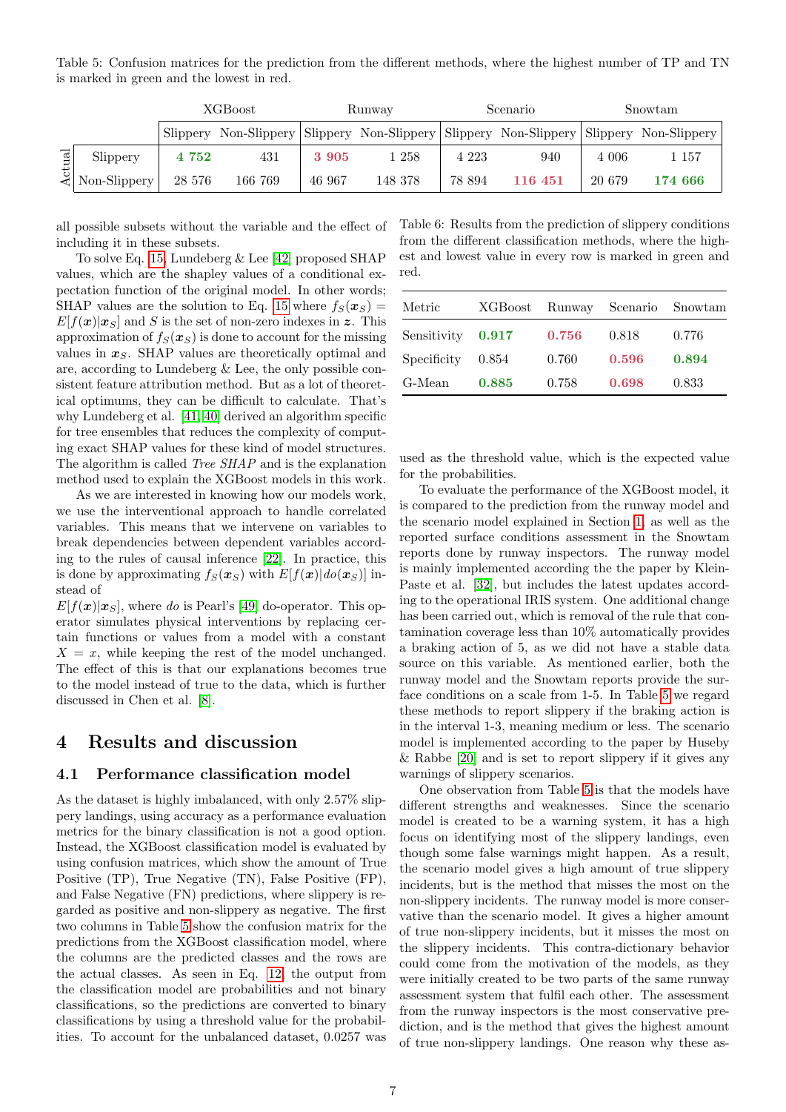<span id="page-6-0"></span>Table 5: Confusion matrices for the prediction from the different methods, where the highest number of TP and TN is marked in green and the lowest in red.

|              |                     |        | XGBoost |        | Runway  |         | Scenario |        | Snowtam                                                                                 |
|--------------|---------------------|--------|---------|--------|---------|---------|----------|--------|-----------------------------------------------------------------------------------------|
|              |                     |        |         |        |         |         |          |        | Slippery Non-Slippery Slippery Non-Slippery Slippery Non-Slippery Slippery Non-Slippery |
| $_{\rm rad}$ | Slippery            | 4 752  | 431     | 3 905  | l 258   | 4 2 2 3 | 940      | 4 006  | 1 157                                                                                   |
|              | $\leq$ Non-Slippery | 28 576 | 166 769 | 46 967 | 148 378 | 78 894  | 116 451  | 20 679 | 174 666                                                                                 |

all possible subsets without the variable and the effect of including it in these subsets.

To solve Eq. [15,](#page-5-1) Lundeberg & Lee [\[42\]](#page-15-14) proposed SHAP values, which are the shapley values of a conditional expectation function of the original model. In other words; SHAP values are the solution to Eq. [15](#page-5-1) where  $f_S(\mathbf{x}_S)$  =  $E[f(\boldsymbol{x})|\boldsymbol{x}_S]$  and S is the set of non-zero indexes in z. This approximation of  $f_S(\mathbf{x}_S)$  is done to account for the missing values in  $x_S$ . SHAP values are theoretically optimal and are, according to Lundeberg & Lee, the only possible consistent feature attribution method. But as a lot of theoretical optimums, they can be difficult to calculate. That's why Lundeberg et al. [\[41,](#page-15-18) [40\]](#page-15-19) derived an algorithm specific for tree ensembles that reduces the complexity of computing exact SHAP values for these kind of model structures. The algorithm is called Tree SHAP and is the explanation method used to explain the XGBoost models in this work.

As we are interested in knowing how our models work, we use the interventional approach to handle correlated variables. This means that we intervene on variables to break dependencies between dependent variables according to the rules of causal inference [\[22\]](#page-14-23). In practice, this is done by approximating  $f_S(\boldsymbol{x}_S)$  with  $E[f(\boldsymbol{x})|do(\boldsymbol{x}_S)]$  instead of

 $E[f(\boldsymbol{x})|\boldsymbol{x}_S]$ , where do is Pearl's [\[49\]](#page-15-20) do-operator. This operator simulates physical interventions by replacing certain functions or values from a model with a constant  $X = x$ , while keeping the rest of the model unchanged. The effect of this is that our explanations becomes true to the model instead of true to the data, which is further discussed in Chen et al. [\[8\]](#page-13-7).

## 4 Results and discussion

### <span id="page-6-2"></span>4.1 Performance classification model

As the dataset is highly imbalanced, with only 2.57% slippery landings, using accuracy as a performance evaluation metrics for the binary classification is not a good option. Instead, the XGBoost classification model is evaluated by using confusion matrices, which show the amount of True Positive (TP), True Negative (TN), False Positive (FP), and False Negative (FN) predictions, where slippery is regarded as positive and non-slippery as negative. The first two columns in Table [5](#page-6-0) show the confusion matrix for the predictions from the XGBoost classification model, where the columns are the predicted classes and the rows are the actual classes. As seen in Eq. [12,](#page-4-2) the output from the classification model are probabilities and not binary classifications, so the predictions are converted to binary classifications by using a threshold value for the probabilities. To account for the unbalanced dataset, 0.0257 was

<span id="page-6-1"></span>Table 6: Results from the prediction of slippery conditions from the different classification methods, where the highest and lowest value in every row is marked in green and red.

| Metric      |               |       | XGBoost Runway Scenario | Snowtam |
|-------------|---------------|-------|-------------------------|---------|
| Sensitivity | $\, 0.917 \,$ | 0.756 | 0.818                   | 0.776   |
| Specificity | 0.854         | 0.760 | 0.596                   | 0.894   |
| G-Mean      | 0.885         | 0.758 | 0.698                   | 0.833   |

used as the threshold value, which is the expected value for the probabilities.

To evaluate the performance of the XGBoost model, it is compared to the prediction from the runway model and the scenario model explained in Section [1,](#page-0-0) as well as the reported surface conditions assessment in the Snowtam reports done by runway inspectors. The runway model is mainly implemented according the the paper by Klein-Paste et al. [\[32\]](#page-14-13), but includes the latest updates according to the operational IRIS system. One additional change has been carried out, which is removal of the rule that contamination coverage less than 10% automatically provides a braking action of 5, as we did not have a stable data source on this variable. As mentioned earlier, both the runway model and the Snowtam reports provide the surface conditions on a scale from 1-5. In Table [5](#page-6-0) we regard these methods to report slippery if the braking action is in the interval 1-3, meaning medium or less. The scenario model is implemented according to the paper by Huseby & Rabbe [\[20\]](#page-14-17) and is set to report slippery if it gives any warnings of slippery scenarios.

One observation from Table [5](#page-6-0) is that the models have different strengths and weaknesses. Since the scenario model is created to be a warning system, it has a high focus on identifying most of the slippery landings, even though some false warnings might happen. As a result, the scenario model gives a high amount of true slippery incidents, but is the method that misses the most on the non-slippery incidents. The runway model is more conservative than the scenario model. It gives a higher amount of true non-slippery incidents, but it misses the most on the slippery incidents. This contra-dictionary behavior could come from the motivation of the models, as they were initially created to be two parts of the same runway assessment system that fulfil each other. The assessment from the runway inspectors is the most conservative prediction, and is the method that gives the highest amount of true non-slippery landings. One reason why these as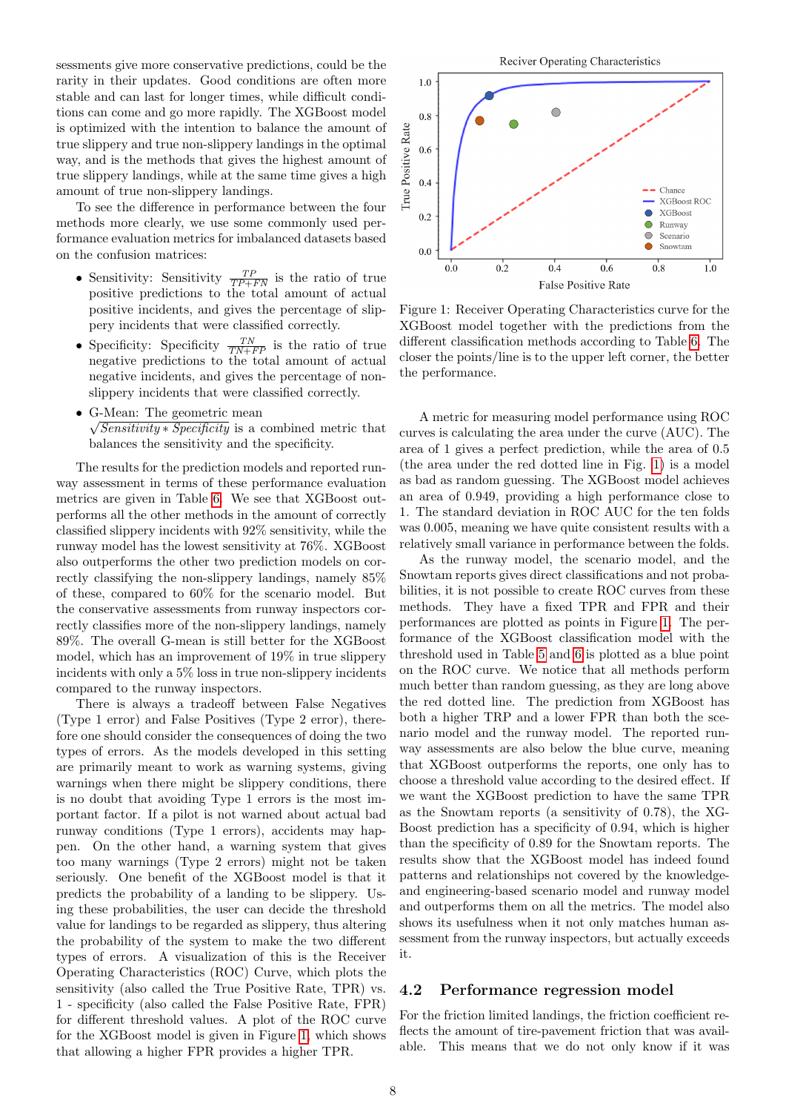sessments give more conservative predictions, could be the rarity in their updates. Good conditions are often more stable and can last for longer times, while difficult conditions can come and go more rapidly. The XGBoost model is optimized with the intention to balance the amount of true slippery and true non-slippery landings in the optimal way, and is the methods that gives the highest amount of true slippery landings, while at the same time gives a high amount of true non-slippery landings.

To see the difference in performance between the four methods more clearly, we use some commonly used performance evaluation metrics for imbalanced datasets based on the confusion matrices:

- Sensitivity: Sensitivity  $\frac{TP}{TP+FN}$  is the ratio of true positive predictions to the total amount of actual positive incidents, and gives the percentage of slippery incidents that were classified correctly.
- Specificity: Specificity  $\frac{TN}{TN+FP}$  is the ratio of true negative predictions to the total amount of actual negative incidents, and gives the percentage of nonslippery incidents that were classified correctly.
- G-Mean: The geometric mean  $\sqrt{Sensitivity*Specificity}$  is a combined metric that balances the sensitivity and the specificity.

The results for the prediction models and reported runway assessment in terms of these performance evaluation metrics are given in Table [6.](#page-6-1) We see that XGBoost outperforms all the other methods in the amount of correctly classified slippery incidents with 92% sensitivity, while the runway model has the lowest sensitivity at 76%. XGBoost also outperforms the other two prediction models on correctly classifying the non-slippery landings, namely 85% of these, compared to 60% for the scenario model. But the conservative assessments from runway inspectors correctly classifies more of the non-slippery landings, namely 89%. The overall G-mean is still better for the XGBoost model, which has an improvement of 19% in true slippery incidents with only a 5% loss in true non-slippery incidents compared to the runway inspectors.

There is always a tradeoff between False Negatives (Type 1 error) and False Positives (Type 2 error), therefore one should consider the consequences of doing the two types of errors. As the models developed in this setting are primarily meant to work as warning systems, giving warnings when there might be slippery conditions, there is no doubt that avoiding Type 1 errors is the most important factor. If a pilot is not warned about actual bad runway conditions (Type 1 errors), accidents may happen. On the other hand, a warning system that gives too many warnings (Type 2 errors) might not be taken seriously. One benefit of the XGBoost model is that it predicts the probability of a landing to be slippery. Using these probabilities, the user can decide the threshold value for landings to be regarded as slippery, thus altering the probability of the system to make the two different types of errors. A visualization of this is the Receiver Operating Characteristics (ROC) Curve, which plots the sensitivity (also called the True Positive Rate, TPR) vs. 1 - specificity (also called the False Positive Rate, FPR) for different threshold values. A plot of the ROC curve for the XGBoost model is given in Figure [1,](#page-7-0) which shows that allowing a higher FPR provides a higher TPR.

<span id="page-7-0"></span>

Figure 1: Receiver Operating Characteristics curve for the XGBoost model together with the predictions from the different classification methods according to Table [6.](#page-6-1) The closer the points/line is to the upper left corner, the better the performance.

A metric for measuring model performance using ROC curves is calculating the area under the curve (AUC). The area of 1 gives a perfect prediction, while the area of 0.5 (the area under the red dotted line in Fig. [1\)](#page-7-0) is a model as bad as random guessing. The XGBoost model achieves an area of 0.949, providing a high performance close to 1. The standard deviation in ROC AUC for the ten folds was 0.005, meaning we have quite consistent results with a relatively small variance in performance between the folds.

As the runway model, the scenario model, and the Snowtam reports gives direct classifications and not probabilities, it is not possible to create ROC curves from these methods. They have a fixed TPR and FPR and their performances are plotted as points in Figure [1.](#page-7-0) The performance of the XGBoost classification model with the threshold used in Table [5](#page-6-0) and [6](#page-6-1) is plotted as a blue point on the ROC curve. We notice that all methods perform much better than random guessing, as they are long above the red dotted line. The prediction from XGBoost has both a higher TRP and a lower FPR than both the scenario model and the runway model. The reported runway assessments are also below the blue curve, meaning that XGBoost outperforms the reports, one only has to choose a threshold value according to the desired effect. If we want the XGBoost prediction to have the same TPR as the Snowtam reports (a sensitivity of 0.78), the XG-Boost prediction has a specificity of 0.94, which is higher than the specificity of 0.89 for the Snowtam reports. The results show that the XGBoost model has indeed found patterns and relationships not covered by the knowledgeand engineering-based scenario model and runway model and outperforms them on all the metrics. The model also shows its usefulness when it not only matches human assessment from the runway inspectors, but actually exceeds it.

#### 4.2 Performance regression model

For the friction limited landings, the friction coefficient reflects the amount of tire-pavement friction that was available. This means that we do not only know if it was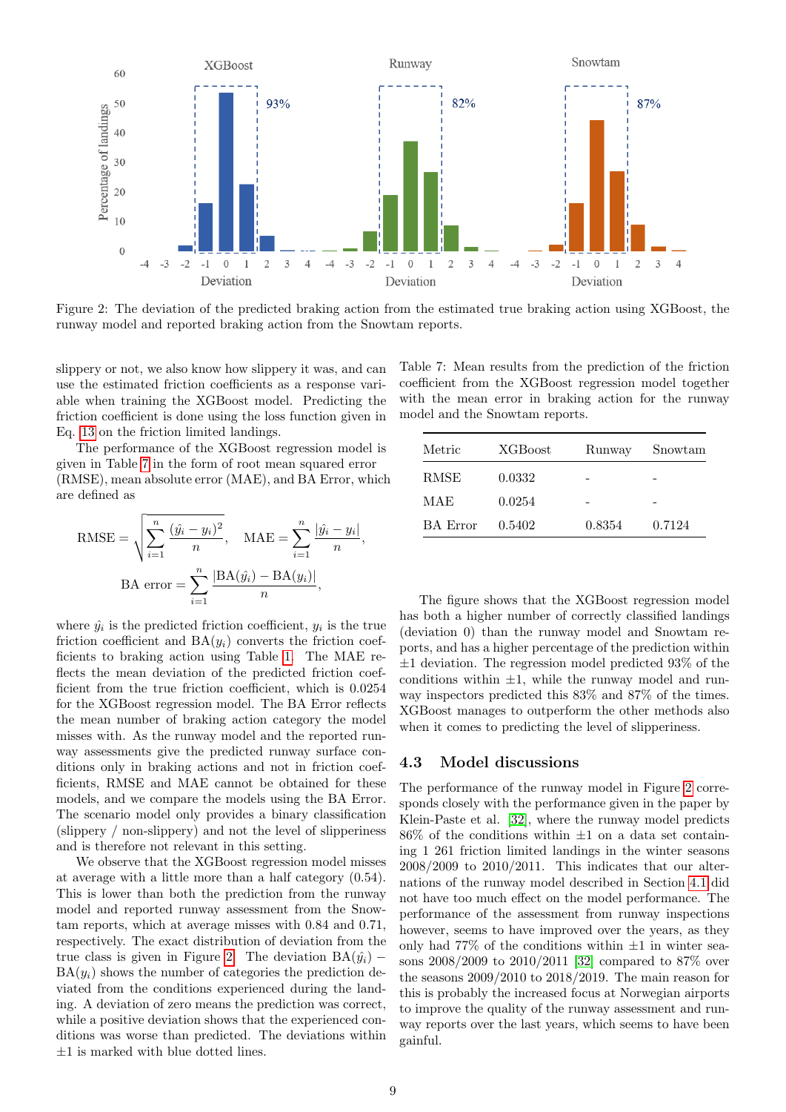<span id="page-8-1"></span>

Figure 2: The deviation of the predicted braking action from the estimated true braking action using XGBoost, the runway model and reported braking action from the Snowtam reports.

slippery or not, we also know how slippery it was, and can use the estimated friction coefficients as a response variable when training the XGBoost model. Predicting the friction coefficient is done using the loss function given in Eq. [13](#page-5-2) on the friction limited landings.

The performance of the XGBoost regression model is given in Table [7](#page-8-0) in the form of root mean squared error (RMSE), mean absolute error (MAE), and BA Error, which are defined as

RMSE = 
$$
\sqrt{\sum_{i=1}^{n} \frac{(\hat{y}_i - y_i)^2}{n}}
$$
, MAE =  $\sum_{i=1}^{n} \frac{|\hat{y}_i - y_i|}{n}$ ,  
BA error =  $\sum_{i=1}^{n} \frac{|BA(\hat{y}_i) - BA(y_i)|}{n}$ ,

where  $\hat{y}_i$  is the predicted friction coefficient,  $y_i$  is the true friction coefficient and  $BA(y_i)$  converts the friction coefficients to braking action using Table [1.](#page-1-0) The MAE reflects the mean deviation of the predicted friction coefficient from the true friction coefficient, which is 0.0254 for the XGBoost regression model. The BA Error reflects the mean number of braking action category the model misses with. As the runway model and the reported runway assessments give the predicted runway surface conditions only in braking actions and not in friction coefficients, RMSE and MAE cannot be obtained for these models, and we compare the models using the BA Error. The scenario model only provides a binary classification (slippery / non-slippery) and not the level of slipperiness and is therefore not relevant in this setting.

We observe that the XGBoost regression model misses at average with a little more than a half category (0.54). This is lower than both the prediction from the runway model and reported runway assessment from the Snowtam reports, which at average misses with 0.84 and 0.71, respectively. The exact distribution of deviation from the true class is given in Figure [2.](#page-8-1) The deviation  $BA(\hat{y}_i)$  –  $BA(y_i)$  shows the number of categories the prediction deviated from the conditions experienced during the landing. A deviation of zero means the prediction was correct, while a positive deviation shows that the experienced conditions was worse than predicted. The deviations within  $\pm 1$  is marked with blue dotted lines.

<span id="page-8-0"></span>Table 7: Mean results from the prediction of the friction coefficient from the XGBoost regression model together with the mean error in braking action for the runway model and the Snowtam reports.

| Metric          | <b>XGBoost</b> | Runway | Snowtam |
|-----------------|----------------|--------|---------|
| RMSE            | 0.0332         |        |         |
| MAE             | 0.0254         |        |         |
| <b>BA</b> Error | 0.5402         | 0.8354 | 0.7124  |

The figure shows that the XGBoost regression model has both a higher number of correctly classified landings (deviation 0) than the runway model and Snowtam reports, and has a higher percentage of the prediction within  $\pm 1$  deviation. The regression model predicted 93\% of the conditions within  $\pm 1$ , while the runway model and runway inspectors predicted this 83% and 87% of the times. XGBoost manages to outperform the other methods also when it comes to predicting the level of slipperiness.

#### 4.3 Model discussions

The performance of the runway model in Figure [2](#page-8-1) corresponds closely with the performance given in the paper by Klein-Paste et al. [\[32\]](#page-14-13), where the runway model predicts  $86\%$  of the conditions within  $\pm 1$  on a data set containing 1 261 friction limited landings in the winter seasons 2008/2009 to 2010/2011. This indicates that our alternations of the runway model described in Section [4.1](#page-6-2) did not have too much effect on the model performance. The performance of the assessment from runway inspections however, seems to have improved over the years, as they only had  $77\%$  of the conditions within  $\pm 1$  in winter seasons 2008/2009 to 2010/2011 [\[32\]](#page-14-13) compared to 87% over the seasons 2009/2010 to 2018/2019. The main reason for this is probably the increased focus at Norwegian airports to improve the quality of the runway assessment and runway reports over the last years, which seems to have been gainful.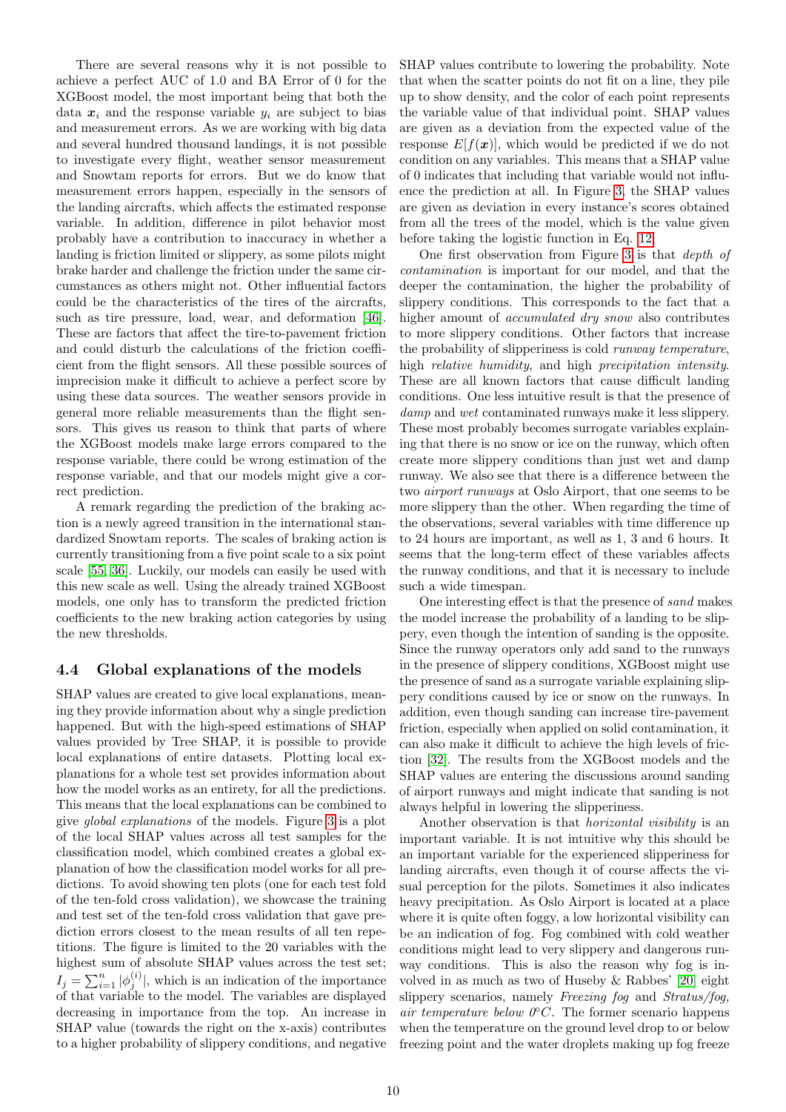There are several reasons why it is not possible to achieve a perfect AUC of 1.0 and BA Error of 0 for the XGBoost model, the most important being that both the data  $x_i$  and the response variable  $y_i$  are subject to bias and measurement errors. As we are working with big data and several hundred thousand landings, it is not possible to investigate every flight, weather sensor measurement and Snowtam reports for errors. But we do know that measurement errors happen, especially in the sensors of the landing aircrafts, which affects the estimated response variable. In addition, difference in pilot behavior most probably have a contribution to inaccuracy in whether a landing is friction limited or slippery, as some pilots might brake harder and challenge the friction under the same circumstances as others might not. Other influential factors could be the characteristics of the tires of the aircrafts, such as tire pressure, load, wear, and deformation [\[46\]](#page-15-1). These are factors that affect the tire-to-pavement friction and could disturb the calculations of the friction coefficient from the flight sensors. All these possible sources of imprecision make it difficult to achieve a perfect score by using these data sources. The weather sensors provide in general more reliable measurements than the flight sensors. This gives us reason to think that parts of where the XGBoost models make large errors compared to the response variable, there could be wrong estimation of the response variable, and that our models might give a correct prediction.

A remark regarding the prediction of the braking action is a newly agreed transition in the international standardized Snowtam reports. The scales of braking action is currently transitioning from a five point scale to a six point scale [\[55,](#page-15-8) [36\]](#page-14-4). Luckily, our models can easily be used with this new scale as well. Using the already trained XGBoost models, one only has to transform the predicted friction coefficients to the new braking action categories by using the new thresholds.

### <span id="page-9-0"></span>4.4 Global explanations of the models

SHAP values are created to give local explanations, meaning they provide information about why a single prediction happened. But with the high-speed estimations of SHAP values provided by Tree SHAP, it is possible to provide local explanations of entire datasets. Plotting local explanations for a whole test set provides information about how the model works as an entirety, for all the predictions. This means that the local explanations can be combined to give global explanations of the models. Figure [3](#page-10-0) is a plot of the local SHAP values across all test samples for the classification model, which combined creates a global explanation of how the classification model works for all predictions. To avoid showing ten plots (one for each test fold of the ten-fold cross validation), we showcase the training and test set of the ten-fold cross validation that gave prediction errors closest to the mean results of all ten repetitions. The figure is limited to the 20 variables with the highest sum of absolute SHAP values across the test set;  $I_j = \sum_{i=1}^n |\phi_j^{(i)}|$ , which is an indication of the importance of that variable to the model. The variables are displayed decreasing in importance from the top. An increase in SHAP value (towards the right on the x-axis) contributes to a higher probability of slippery conditions, and negative SHAP values contribute to lowering the probability. Note that when the scatter points do not fit on a line, they pile up to show density, and the color of each point represents the variable value of that individual point. SHAP values are given as a deviation from the expected value of the response  $E[f(x)]$ , which would be predicted if we do not condition on any variables. This means that a SHAP value of 0 indicates that including that variable would not influence the prediction at all. In Figure [3,](#page-10-0) the SHAP values are given as deviation in every instance's scores obtained from all the trees of the model, which is the value given before taking the logistic function in Eq. [12.](#page-4-2)

One first observation from Figure [3](#page-10-0) is that depth of contamination is important for our model, and that the deeper the contamination, the higher the probability of slippery conditions. This corresponds to the fact that a higher amount of *accumulated dry snow* also contributes to more slippery conditions. Other factors that increase the probability of slipperiness is cold runway temperature, high relative humidity, and high precipitation intensity. These are all known factors that cause difficult landing conditions. One less intuitive result is that the presence of damp and wet contaminated runways make it less slippery. These most probably becomes surrogate variables explaining that there is no snow or ice on the runway, which often create more slippery conditions than just wet and damp runway. We also see that there is a difference between the two airport runways at Oslo Airport, that one seems to be more slippery than the other. When regarding the time of the observations, several variables with time difference up to 24 hours are important, as well as 1, 3 and 6 hours. It seems that the long-term effect of these variables affects the runway conditions, and that it is necessary to include such a wide timespan.

One interesting effect is that the presence of sand makes the model increase the probability of a landing to be slippery, even though the intention of sanding is the opposite. Since the runway operators only add sand to the runways in the presence of slippery conditions, XGBoost might use the presence of sand as a surrogate variable explaining slippery conditions caused by ice or snow on the runways. In addition, even though sanding can increase tire-pavement friction, especially when applied on solid contamination, it can also make it difficult to achieve the high levels of friction [\[32\]](#page-14-13). The results from the XGBoost models and the SHAP values are entering the discussions around sanding of airport runways and might indicate that sanding is not always helpful in lowering the slipperiness.

Another observation is that horizontal visibility is an important variable. It is not intuitive why this should be an important variable for the experienced slipperiness for landing aircrafts, even though it of course affects the visual perception for the pilots. Sometimes it also indicates heavy precipitation. As Oslo Airport is located at a place where it is quite often foggy, a low horizontal visibility can be an indication of fog. Fog combined with cold weather conditions might lead to very slippery and dangerous runway conditions. This is also the reason why fog is involved in as much as two of Huseby & Rabbes' [\[20\]](#page-14-17) eight slippery scenarios, namely Freezing fog and Stratus/fog, air temperature below  $0^{\circ}C$ . The former scenario happens when the temperature on the ground level drop to or below freezing point and the water droplets making up fog freeze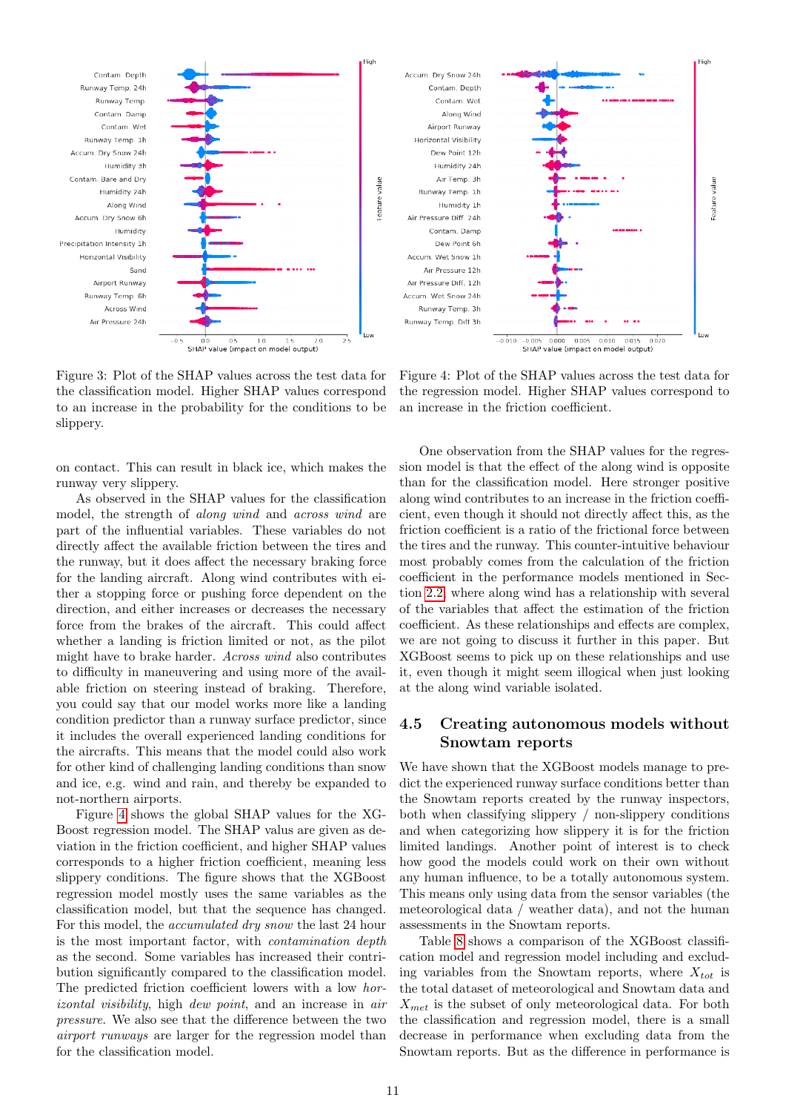<span id="page-10-0"></span>

Figure 3: Plot of the SHAP values across the test data for the classification model. Higher SHAP values correspond to an increase in the probability for the conditions to be slippery.

on contact. This can result in black ice, which makes the runway very slippery.

As observed in the SHAP values for the classification model, the strength of along wind and across wind are part of the influential variables. These variables do not directly affect the available friction between the tires and the runway, but it does affect the necessary braking force for the landing aircraft. Along wind contributes with either a stopping force or pushing force dependent on the direction, and either increases or decreases the necessary force from the brakes of the aircraft. This could affect whether a landing is friction limited or not, as the pilot might have to brake harder. Across wind also contributes to difficulty in maneuvering and using more of the available friction on steering instead of braking. Therefore, you could say that our model works more like a landing condition predictor than a runway surface predictor, since it includes the overall experienced landing conditions for the aircrafts. This means that the model could also work for other kind of challenging landing conditions than snow and ice, e.g. wind and rain, and thereby be expanded to not-northern airports.

Figure [4](#page-10-1) shows the global SHAP values for the XG-Boost regression model. The SHAP valus are given as deviation in the friction coefficient, and higher SHAP values corresponds to a higher friction coefficient, meaning less slippery conditions. The figure shows that the XGBoost regression model mostly uses the same variables as the classification model, but that the sequence has changed. For this model, the *accumulated dry snow* the last 24 hour is the most important factor, with contamination depth as the second. Some variables has increased their contribution significantly compared to the classification model. The predicted friction coefficient lowers with a low horizontal visibility, high dew point, and an increase in air pressure. We also see that the difference between the two airport runways are larger for the regression model than for the classification model.

<span id="page-10-1"></span>

Figure 4: Plot of the SHAP values across the test data for the regression model. Higher SHAP values correspond to an increase in the friction coefficient.

One observation from the SHAP values for the regression model is that the effect of the along wind is opposite than for the classification model. Here stronger positive along wind contributes to an increase in the friction coefficient, even though it should not directly affect this, as the friction coefficient is a ratio of the frictional force between the tires and the runway. This counter-intuitive behaviour most probably comes from the calculation of the friction coefficient in the performance models mentioned in Section [2.2,](#page-2-0) where along wind has a relationship with several of the variables that affect the estimation of the friction coefficient. As these relationships and effects are complex, we are not going to discuss it further in this paper. But XGBoost seems to pick up on these relationships and use it, even though it might seem illogical when just looking at the along wind variable isolated.

## 4.5 Creating autonomous models without Snowtam reports

We have shown that the XGBoost models manage to predict the experienced runway surface conditions better than the Snowtam reports created by the runway inspectors, both when classifying slippery / non-slippery conditions and when categorizing how slippery it is for the friction limited landings. Another point of interest is to check how good the models could work on their own without any human influence, to be a totally autonomous system. This means only using data from the sensor variables (the meteorological data / weather data), and not the human assessments in the Snowtam reports.

Table [8](#page-11-0) shows a comparison of the XGBoost classification model and regression model including and excluding variables from the Snowtam reports, where  $X_{tot}$  is the total dataset of meteorological and Snowtam data and  $X_{met}$  is the subset of only meteorological data. For both the classification and regression model, there is a small decrease in performance when excluding data from the Snowtam reports. But as the difference in performance is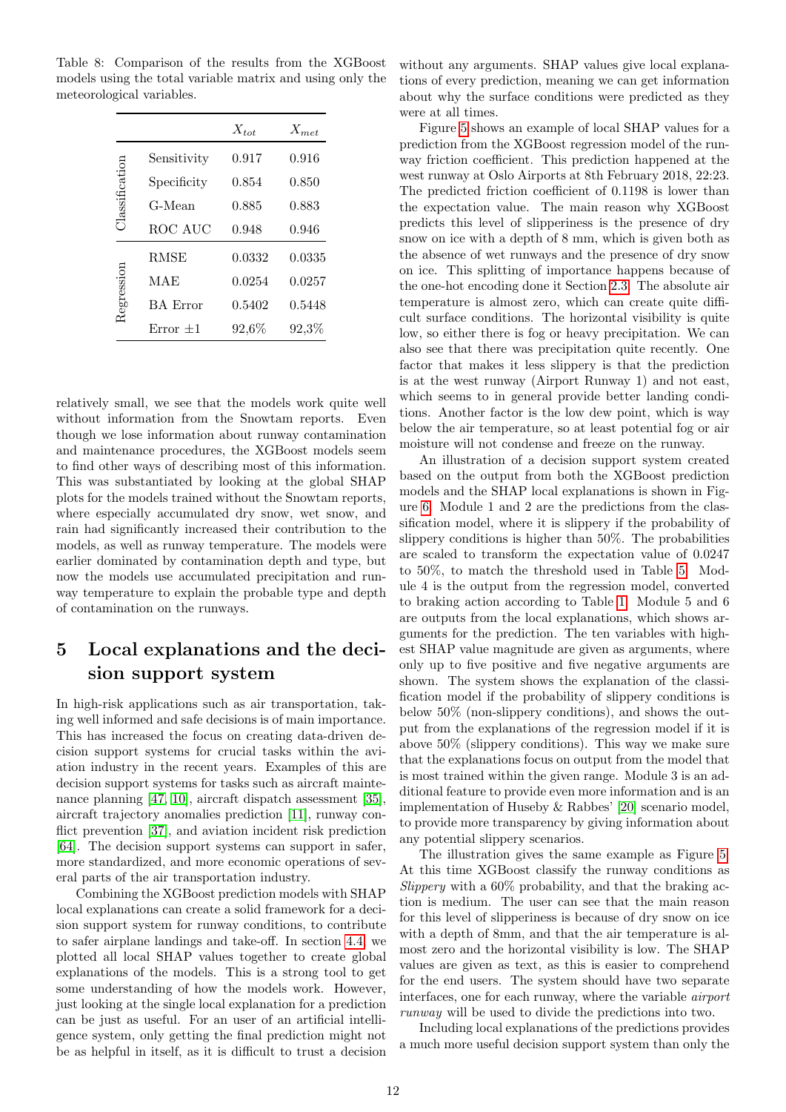|                |                 | $X_{tot}$ | $X_{met}$ |
|----------------|-----------------|-----------|-----------|
|                | Sensitivity     | 0.917     | 0.916     |
| Classification | Specificity     | 0.854     | 0.850     |
|                | G-Mean          | 0.885     | 0.883     |
|                | ROC AUC         | 0.948     | 0.946     |
|                | <b>RMSE</b>     | 0.0332    | 0.0335    |
| degression     | MAE             | 0.0254    | 0.0257    |
|                | <b>BA</b> Error | 0.5402    | 0.5448    |
|                | Error $\pm 1$   | 92,6%     | $92,3\%$  |

<span id="page-11-0"></span>Table 8: Comparison of the results from the XGBoost models using the total variable matrix and using only the meteorological variables.

relatively small, we see that the models work quite well without information from the Snowtam reports. Even though we lose information about runway contamination and maintenance procedures, the XGBoost models seem to find other ways of describing most of this information. This was substantiated by looking at the global SHAP plots for the models trained without the Snowtam reports, where especially accumulated dry snow, wet snow, and rain had significantly increased their contribution to the models, as well as runway temperature. The models were earlier dominated by contamination depth and type, but now the models use accumulated precipitation and runway temperature to explain the probable type and depth of contamination on the runways.

## 5 Local explanations and the decision support system

In high-risk applications such as air transportation, taking well informed and safe decisions is of main importance. This has increased the focus on creating data-driven decision support systems for crucial tasks within the aviation industry in the recent years. Examples of this are decision support systems for tasks such as aircraft mainte-nance planning [\[47,](#page-15-21) [10\]](#page-13-8), aircraft dispatch assessment [\[35\]](#page-14-24), aircraft trajectory anomalies prediction [\[11\]](#page-13-9), runway con-flict prevention [\[37\]](#page-14-25), and aviation incident risk prediction [\[64\]](#page-15-22). The decision support systems can support in safer, more standardized, and more economic operations of several parts of the air transportation industry.

Combining the XGBoost prediction models with SHAP local explanations can create a solid framework for a decision support system for runway conditions, to contribute to safer airplane landings and take-off. In section [4.4,](#page-9-0) we plotted all local SHAP values together to create global explanations of the models. This is a strong tool to get some understanding of how the models work. However, just looking at the single local explanation for a prediction can be just as useful. For an user of an artificial intelligence system, only getting the final prediction might not be as helpful in itself, as it is difficult to trust a decision without any arguments. SHAP values give local explanations of every prediction, meaning we can get information about why the surface conditions were predicted as they were at all times.

Figure [5](#page-12-0) shows an example of local SHAP values for a prediction from the XGBoost regression model of the runway friction coefficient. This prediction happened at the west runway at Oslo Airports at 8th February 2018, 22:23. The predicted friction coefficient of 0.1198 is lower than the expectation value. The main reason why XGBoost predicts this level of slipperiness is the presence of dry snow on ice with a depth of 8 mm, which is given both as the absence of wet runways and the presence of dry snow on ice. This splitting of importance happens because of the one-hot encoding done it Section [2.3.](#page-3-1) The absolute air temperature is almost zero, which can create quite difficult surface conditions. The horizontal visibility is quite low, so either there is fog or heavy precipitation. We can also see that there was precipitation quite recently. One factor that makes it less slippery is that the prediction is at the west runway (Airport Runway 1) and not east, which seems to in general provide better landing conditions. Another factor is the low dew point, which is way below the air temperature, so at least potential fog or air moisture will not condense and freeze on the runway.

An illustration of a decision support system created based on the output from both the XGBoost prediction models and the SHAP local explanations is shown in Figure [6.](#page-13-10) Module 1 and 2 are the predictions from the classification model, where it is slippery if the probability of slippery conditions is higher than 50%. The probabilities are scaled to transform the expectation value of 0.0247 to 50%, to match the threshold used in Table [5.](#page-6-0) Module 4 is the output from the regression model, converted to braking action according to Table [1.](#page-1-0) Module 5 and 6 are outputs from the local explanations, which shows arguments for the prediction. The ten variables with highest SHAP value magnitude are given as arguments, where only up to five positive and five negative arguments are shown. The system shows the explanation of the classification model if the probability of slippery conditions is below 50% (non-slippery conditions), and shows the output from the explanations of the regression model if it is above 50% (slippery conditions). This way we make sure that the explanations focus on output from the model that is most trained within the given range. Module 3 is an additional feature to provide even more information and is an implementation of Huseby & Rabbes' [\[20\]](#page-14-17) scenario model, to provide more transparency by giving information about any potential slippery scenarios.

The illustration gives the same example as Figure [5.](#page-12-0) At this time XGBoost classify the runway conditions as Slippery with a 60% probability, and that the braking action is medium. The user can see that the main reason for this level of slipperiness is because of dry snow on ice with a depth of 8mm, and that the air temperature is almost zero and the horizontal visibility is low. The SHAP values are given as text, as this is easier to comprehend for the end users. The system should have two separate interfaces, one for each runway, where the variable airport runway will be used to divide the predictions into two.

Including local explanations of the predictions provides a much more useful decision support system than only the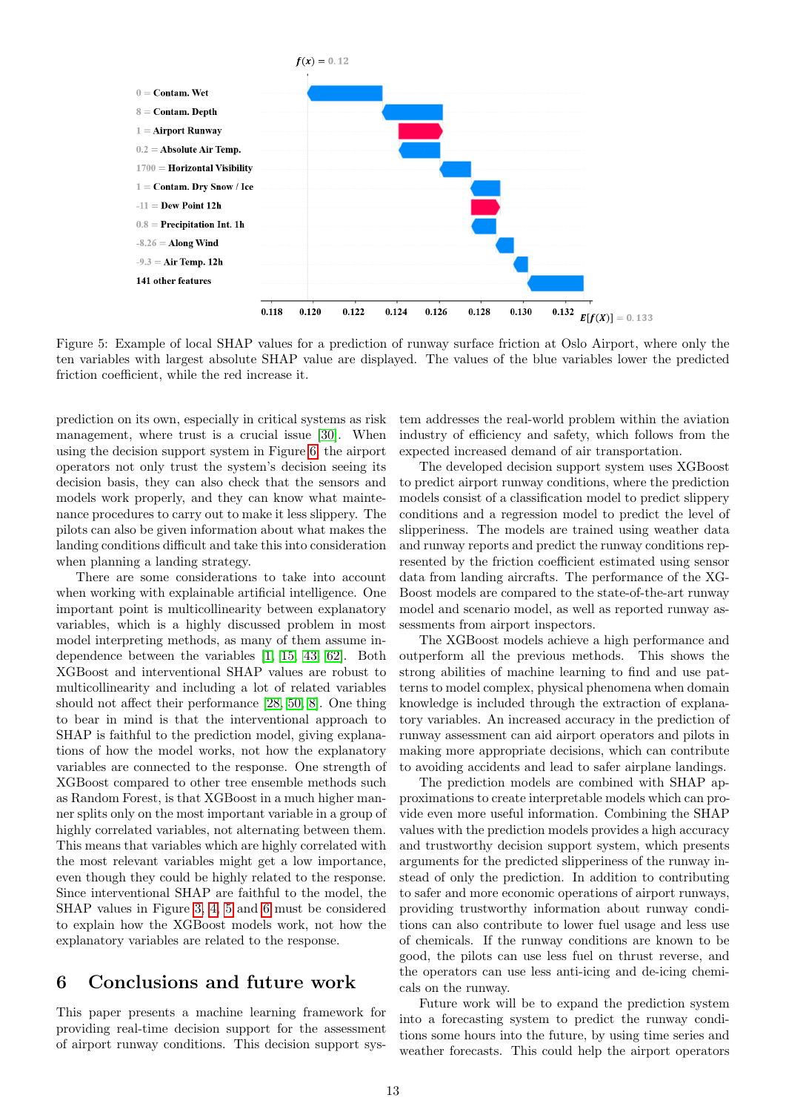<span id="page-12-0"></span>

Figure 5: Example of local SHAP values for a prediction of runway surface friction at Oslo Airport, where only the ten variables with largest absolute SHAP value are displayed. The values of the blue variables lower the predicted friction coefficient, while the red increase it.

prediction on its own, especially in critical systems as risk management, where trust is a crucial issue [\[30\]](#page-14-26). When using the decision support system in Figure [6,](#page-13-10) the airport operators not only trust the system's decision seeing its decision basis, they can also check that the sensors and models work properly, and they can know what maintenance procedures to carry out to make it less slippery. The pilots can also be given information about what makes the landing conditions difficult and take this into consideration when planning a landing strategy.

There are some considerations to take into account when working with explainable artificial intelligence. One important point is multicollinearity between explanatory variables, which is a highly discussed problem in most model interpreting methods, as many of them assume independence between the variables [\[1,](#page-13-11) [15,](#page-14-27) [43,](#page-15-23) [62\]](#page-15-24). Both XGBoost and interventional SHAP values are robust to multicollinearity and including a lot of related variables should not affect their performance [\[28,](#page-14-15) [50,](#page-15-12) [8\]](#page-13-7). One thing to bear in mind is that the interventional approach to SHAP is faithful to the prediction model, giving explanations of how the model works, not how the explanatory variables are connected to the response. One strength of XGBoost compared to other tree ensemble methods such as Random Forest, is that XGBoost in a much higher manner splits only on the most important variable in a group of highly correlated variables, not alternating between them. This means that variables which are highly correlated with the most relevant variables might get a low importance, even though they could be highly related to the response. Since interventional SHAP are faithful to the model, the SHAP values in Figure [3,](#page-10-0) [4,](#page-10-1) [5](#page-12-0) and [6](#page-13-10) must be considered to explain how the XGBoost models work, not how the explanatory variables are related to the response.

## 6 Conclusions and future work

This paper presents a machine learning framework for providing real-time decision support for the assessment of airport runway conditions. This decision support system addresses the real-world problem within the aviation industry of efficiency and safety, which follows from the expected increased demand of air transportation.

The developed decision support system uses XGBoost to predict airport runway conditions, where the prediction models consist of a classification model to predict slippery conditions and a regression model to predict the level of slipperiness. The models are trained using weather data and runway reports and predict the runway conditions represented by the friction coefficient estimated using sensor data from landing aircrafts. The performance of the XG-Boost models are compared to the state-of-the-art runway model and scenario model, as well as reported runway assessments from airport inspectors.

The XGBoost models achieve a high performance and outperform all the previous methods. This shows the strong abilities of machine learning to find and use patterns to model complex, physical phenomena when domain knowledge is included through the extraction of explanatory variables. An increased accuracy in the prediction of runway assessment can aid airport operators and pilots in making more appropriate decisions, which can contribute to avoiding accidents and lead to safer airplane landings.

The prediction models are combined with SHAP approximations to create interpretable models which can provide even more useful information. Combining the SHAP values with the prediction models provides a high accuracy and trustworthy decision support system, which presents arguments for the predicted slipperiness of the runway instead of only the prediction. In addition to contributing to safer and more economic operations of airport runways, providing trustworthy information about runway conditions can also contribute to lower fuel usage and less use of chemicals. If the runway conditions are known to be good, the pilots can use less fuel on thrust reverse, and the operators can use less anti-icing and de-icing chemicals on the runway.

Future work will be to expand the prediction system into a forecasting system to predict the runway conditions some hours into the future, by using time series and weather forecasts. This could help the airport operators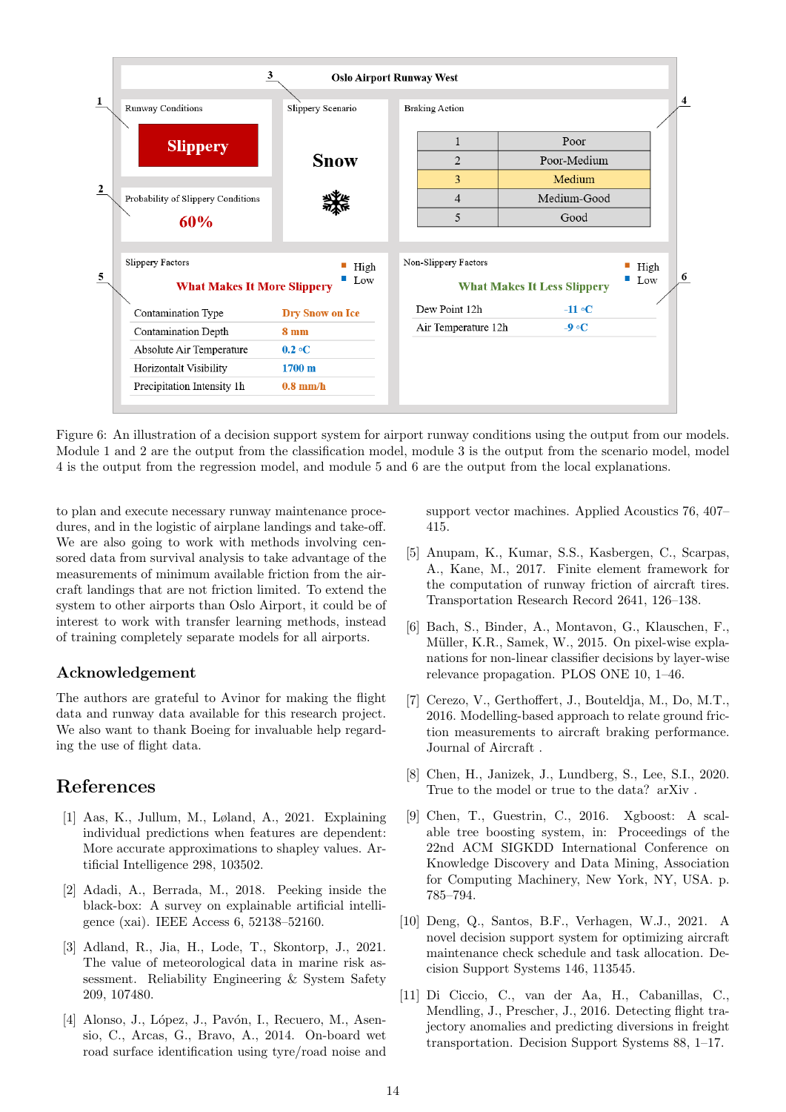<span id="page-13-10"></span>

Figure 6: An illustration of a decision support system for airport runway conditions using the output from our models. Module 1 and 2 are the output from the classification model, module 3 is the output from the scenario model, model 4 is the output from the regression model, and module 5 and 6 are the output from the local explanations.

to plan and execute necessary runway maintenance procedures, and in the logistic of airplane landings and take-off. We are also going to work with methods involving censored data from survival analysis to take advantage of the measurements of minimum available friction from the aircraft landings that are not friction limited. To extend the system to other airports than Oslo Airport, it could be of interest to work with transfer learning methods, instead of training completely separate models for all airports.

### Acknowledgement

The authors are grateful to Avinor for making the flight data and runway data available for this research project. We also want to thank Boeing for invaluable help regarding the use of flight data.

## References

- <span id="page-13-11"></span>[1] Aas, K., Jullum, M., Løland, A., 2021. Explaining individual predictions when features are dependent: More accurate approximations to shapley values. Artificial Intelligence 298, 103502.
- <span id="page-13-5"></span>[2] Adadi, A., Berrada, M., 2018. Peeking inside the black-box: A survey on explainable artificial intelligence (xai). IEEE Access 6, 52138–52160.
- <span id="page-13-4"></span>[3] Adland, R., Jia, H., Lode, T., Skontorp, J., 2021. The value of meteorological data in marine risk assessment. Reliability Engineering & System Safety 209, 107480.
- <span id="page-13-2"></span>[4] Alonso, J., López, J., Pavón, I., Recuero, M., Asensio, C., Arcas, G., Bravo, A., 2014. On-board wet road surface identification using tyre/road noise and

support vector machines. Applied Acoustics 76, 407– 415.

- <span id="page-13-0"></span>[5] Anupam, K., Kumar, S.S., Kasbergen, C., Scarpas, A., Kane, M., 2017. Finite element framework for the computation of runway friction of aircraft tires. Transportation Research Record 2641, 126–138.
- <span id="page-13-6"></span>[6] Bach, S., Binder, A., Montavon, G., Klauschen, F., Müller, K.R., Samek, W., 2015. On pixel-wise explanations for non-linear classifier decisions by layer-wise relevance propagation. PLOS ONE 10, 1–46.
- <span id="page-13-1"></span>[7] Cerezo, V., Gerthoffert, J., Bouteldja, M., Do, M.T., 2016. Modelling-based approach to relate ground friction measurements to aircraft braking performance. Journal of Aircraft .
- <span id="page-13-7"></span>[8] Chen, H., Janizek, J., Lundberg, S., Lee, S.I., 2020. True to the model or true to the data? arXiv .
- <span id="page-13-3"></span>[9] Chen, T., Guestrin, C., 2016. Xgboost: A scalable tree boosting system, in: Proceedings of the 22nd ACM SIGKDD International Conference on Knowledge Discovery and Data Mining, Association for Computing Machinery, New York, NY, USA. p. 785–794.
- <span id="page-13-8"></span>[10] Deng, Q., Santos, B.F., Verhagen, W.J., 2021. A novel decision support system for optimizing aircraft maintenance check schedule and task allocation. Decision Support Systems 146, 113545.
- <span id="page-13-9"></span>[11] Di Ciccio, C., van der Aa, H., Cabanillas, C., Mendling, J., Prescher, J., 2016. Detecting flight trajectory anomalies and predicting diversions in freight transportation. Decision Support Systems 88, 1–17.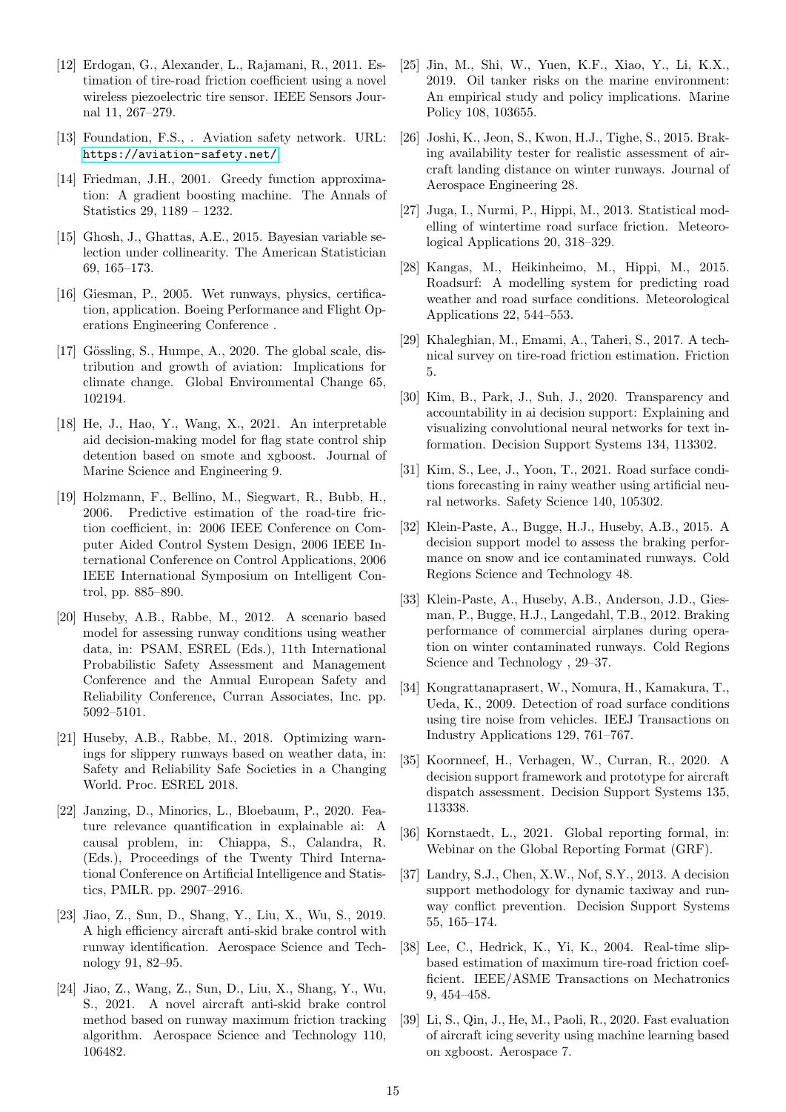- <span id="page-14-8"></span>[12] Erdogan, G., Alexander, L., Rajamani, R., 2011. Estimation of tire-road friction coefficient using a novel wireless piezoelectric tire sensor. IEEE Sensors Journal 11, 267–279.
- <span id="page-14-2"></span>[13] Foundation, F.S., . Aviation safety network. URL: <https://aviation-safety.net/>.
- <span id="page-14-19"></span>[14] Friedman, J.H., 2001. Greedy function approximation: A gradient boosting machine. The Annals of Statistics 29, 1189 – 1232.
- <span id="page-14-27"></span>[15] Ghosh, J., Ghattas, A.E., 2015. Bayesian variable selection under collinearity. The American Statistician 69, 165–173.
- <span id="page-14-0"></span>[16] Giesman, P., 2005. Wet runways, physics, certification, application. Boeing Performance and Flight Operations Engineering Conference .
- <span id="page-14-3"></span>[17] Gössling, S., Humpe, A., 2020. The global scale, distribution and growth of aviation: Implications for climate change. Global Environmental Change 65, 102194.
- <span id="page-14-21"></span>[18] He, J., Hao, Y., Wang, X., 2021. An interpretable aid decision-making model for flag state control ship detention based on smote and xgboost. Journal of Marine Science and Engineering 9.
- <span id="page-14-9"></span>[19] Holzmann, F., Bellino, M., Siegwart, R., Bubb, H., 2006. Predictive estimation of the road-tire friction coefficient, in: 2006 IEEE Conference on Computer Aided Control System Design, 2006 IEEE International Conference on Control Applications, 2006 IEEE International Symposium on Intelligent Control, pp. 885–890.
- <span id="page-14-17"></span>[20] Huseby, A.B., Rabbe, M., 2012. A scenario based model for assessing runway conditions using weather data, in: PSAM, ESREL (Eds.), 11th International Probabilistic Safety Assessment and Management Conference and the Annual European Safety and Reliability Conference, Curran Associates, Inc. pp. 5092–5101.
- <span id="page-14-18"></span>[21] Huseby, A.B., Rabbe, M., 2018. Optimizing warnings for slippery runways based on weather data, in: Safety and Reliability Safe Societies in a Changing World. Proc. ESREL 2018.
- <span id="page-14-23"></span>[22] Janzing, D., Minorics, L., Bloebaum, P., 2020. Feature relevance quantification in explainable ai: A causal problem, in: Chiappa, S., Calandra, R. (Eds.), Proceedings of the Twenty Third International Conference on Artificial Intelligence and Statistics, PMLR. pp. 2907–2916.
- <span id="page-14-10"></span>[23] Jiao, Z., Sun, D., Shang, Y., Liu, X., Wu, S., 2019. A high efficiency aircraft anti-skid brake control with runway identification. Aerospace Science and Technology 91, 82–95.
- <span id="page-14-11"></span>[24] Jiao, Z., Wang, Z., Sun, D., Liu, X., Shang, Y., Wu, S., 2021. A novel aircraft anti-skid brake control method based on runway maximum friction tracking algorithm. Aerospace Science and Technology 110, 106482.
- <span id="page-14-22"></span>[25] Jin, M., Shi, W., Yuen, K.F., Xiao, Y., Li, K.X., 2019. Oil tanker risks on the marine environment: An empirical study and policy implications. Marine Policy 108, 103655.
- <span id="page-14-5"></span>[26] Joshi, K., Jeon, S., Kwon, H.J., Tighe, S., 2015. Braking availability tester for realistic assessment of aircraft landing distance on winter runways. Journal of Aerospace Engineering 28.
- <span id="page-14-14"></span>[27] Juga, I., Nurmi, P., Hippi, M., 2013. Statistical modelling of wintertime road surface friction. Meteorological Applications 20, 318–329.
- <span id="page-14-15"></span>[28] Kangas, M., Heikinheimo, M., Hippi, M., 2015. Roadsurf: A modelling system for predicting road weather and road surface conditions. Meteorological Applications 22, 544–553.
- <span id="page-14-6"></span>[29] Khaleghian, M., Emami, A., Taheri, S., 2017. A technical survey on tire-road friction estimation. Friction 5.
- <span id="page-14-26"></span>[30] Kim, B., Park, J., Suh, J., 2020. Transparency and accountability in ai decision support: Explaining and visualizing convolutional neural networks for text information. Decision Support Systems 134, 113302.
- <span id="page-14-16"></span>[31] Kim, S., Lee, J., Yoon, T., 2021. Road surface conditions forecasting in rainy weather using artificial neural networks. Safety Science 140, 105302.
- <span id="page-14-13"></span>[32] Klein-Paste, A., Bugge, H.J., Huseby, A.B., 2015. A decision support model to assess the braking performance on snow and ice contaminated runways. Cold Regions Science and Technology 48.
- <span id="page-14-1"></span>[33] Klein-Paste, A., Huseby, A.B., Anderson, J.D., Giesman, P., Bugge, H.J., Langedahl, T.B., 2012. Braking performance of commercial airplanes during operation on winter contaminated runways. Cold Regions Science and Technology , 29–37.
- <span id="page-14-7"></span>[34] Kongrattanaprasert, W., Nomura, H., Kamakura, T., Ueda, K., 2009. Detection of road surface conditions using tire noise from vehicles. IEEJ Transactions on Industry Applications 129, 761–767.
- <span id="page-14-24"></span>[35] Koornneef, H., Verhagen, W., Curran, R., 2020. A decision support framework and prototype for aircraft dispatch assessment. Decision Support Systems 135, 113338.
- <span id="page-14-4"></span>[36] Kornstaedt, L., 2021. Global reporting formal, in: Webinar on the Global Reporting Format (GRF).
- <span id="page-14-25"></span>[37] Landry, S.J., Chen, X.W., Nof, S.Y., 2013. A decision support methodology for dynamic taxiway and runway conflict prevention. Decision Support Systems 55, 165–174.
- <span id="page-14-12"></span>[38] Lee, C., Hedrick, K., Yi, K., 2004. Real-time slipbased estimation of maximum tire-road friction coefficient. IEEE/ASME Transactions on Mechatronics 9, 454–458.
- <span id="page-14-20"></span>[39] Li, S., Qin, J., He, M., Paoli, R., 2020. Fast evaluation of aircraft icing severity using machine learning based on xgboost. Aerospace 7.